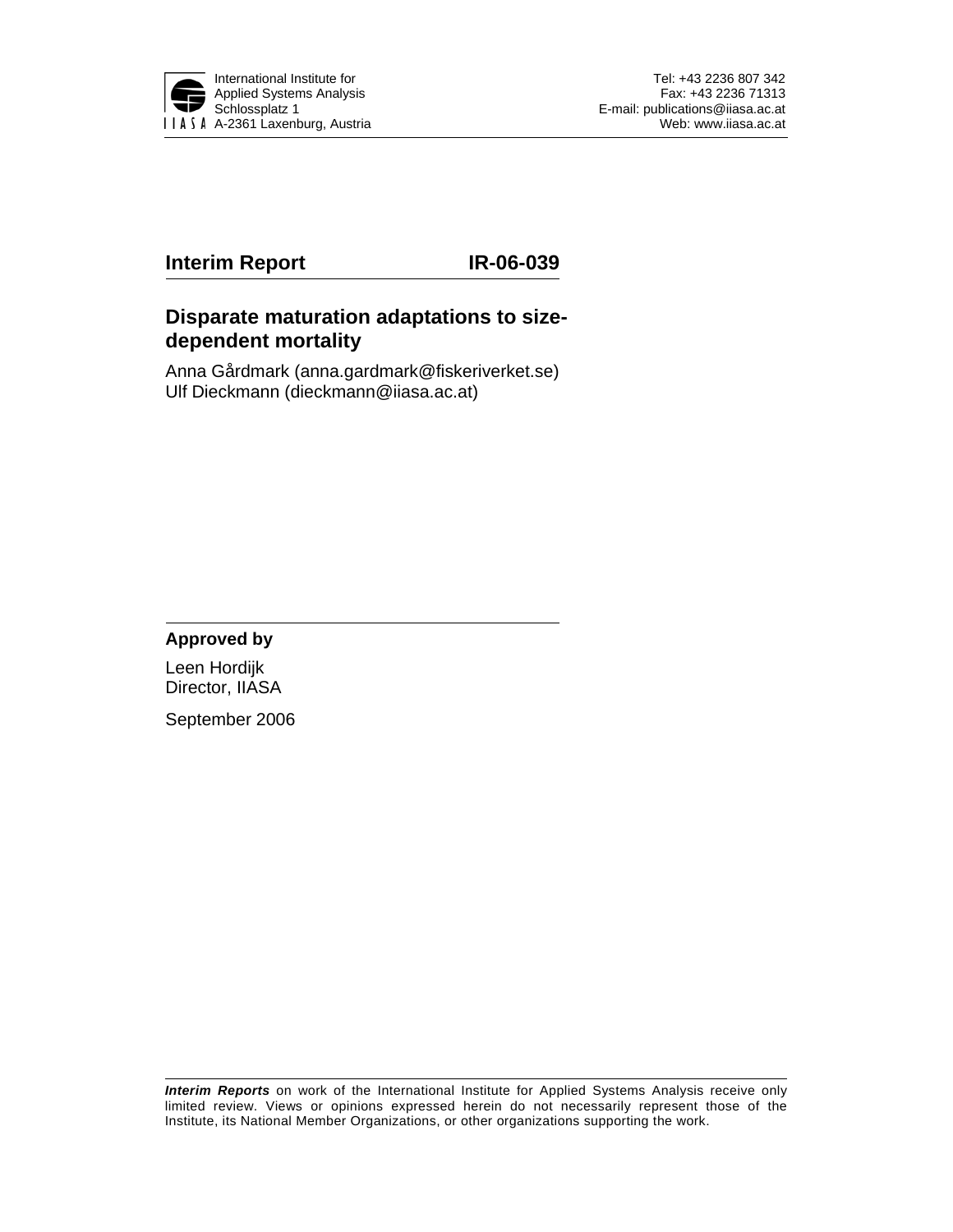

# **Interim Report IR-06-039**

# **Disparate maturation adaptations to sizedependent mortality**

Anna Gårdmark (anna.gardmark@fiskeriverket.se) Ulf Dieckmann (dieckmann@iiasa.ac.at)

## **Approved by**

Leen Hordijk Director, IIASA

September 2006

*Interim Reports* on work of the International Institute for Applied Systems Analysis receive only limited review. Views or opinions expressed herein do not necessarily represent those of the Institute, its National Member Organizations, or other organizations supporting the work.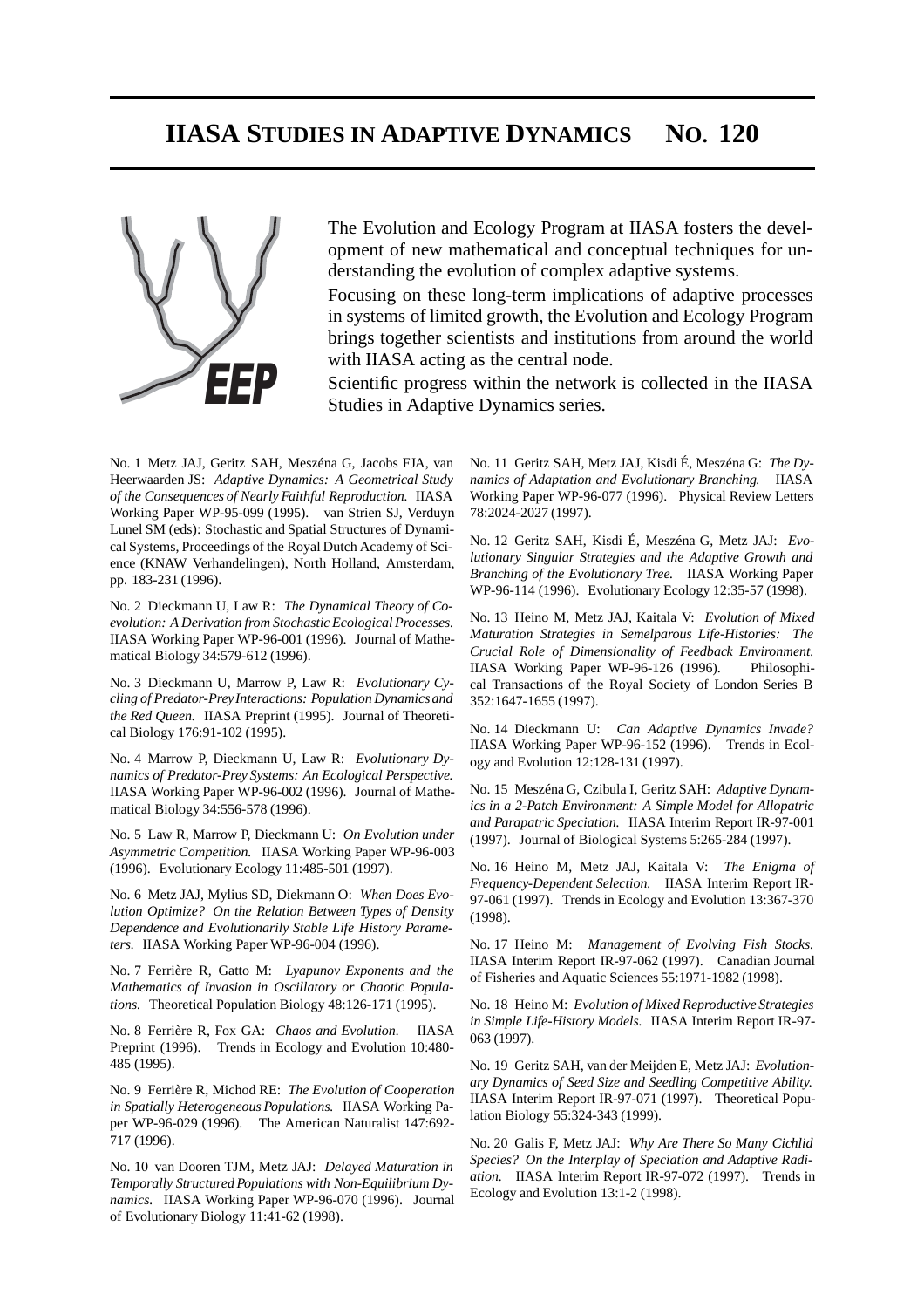# **IIASA STUDIES IN ADAPTIVE DYNAMICS NO. 120**



The Evolution and Ecology Program at IIASA fosters the development of new mathematical and conceptual techniques for understanding the evolution of complex adaptive systems.

Focusing on these long-term implications of adaptive processes in systems of limited growth, the Evolution and Ecology Program brings together scientists and institutions from around the world with IIASA acting as the central node.

Scientific progress within the network is collected in the IIASA Studies in Adaptive Dynamics series.

No. 1 Metz JAJ, Geritz SAH, Meszéna G, Jacobs FJA, van Heerwaarden JS: *Adaptive Dynamics: A Geometrical Study of the Consequences of Nearly Faithful Reproduction.* IIASA Working Paper WP-95-099 (1995). van Strien SJ, Verduyn Lunel SM (eds): Stochastic and Spatial Structures of Dynamical Systems, Proceedings of the Royal Dutch Academy of Science (KNAW Verhandelingen), North Holland, Amsterdam, pp. 183-231 (1996).

No. 2 Dieckmann U, Law R: *The Dynamical Theory of Coevolution: A Derivation from Stochastic Ecological Processes.* IIASA Working Paper WP-96-001 (1996). Journal of Mathematical Biology 34:579-612 (1996).

No. 3 Dieckmann U, Marrow P, Law R: *Evolutionary Cycling of Predator-Prey Interactions: Population Dynamics and the Red Queen.* IIASA Preprint (1995). Journal of Theoretical Biology 176:91-102 (1995).

No. 4 Marrow P, Dieckmann U, Law R: *Evolutionary Dynamics of Predator-Prey Systems: An Ecological Perspective.* IIASA Working Paper WP-96-002 (1996). Journal of Mathematical Biology 34:556-578 (1996).

No. 5 Law R, Marrow P, Dieckmann U: *On Evolution under Asymmetric Competition.* IIASA Working Paper WP-96-003 (1996). Evolutionary Ecology 11:485-501 (1997).

No. 6 Metz JAJ, Mylius SD, Diekmann O: *When Does Evolution Optimize? On the Relation Between Types of Density Dependence and Evolutionarily Stable Life History Parameters.* IIASA Working Paper WP-96-004 (1996).

No. 7 Ferrière R, Gatto M: *Lyapunov Exponents and the Mathematics of Invasion in Oscillatory or Chaotic Populations.* Theoretical Population Biology 48:126-171 (1995).

No. 8 Ferrière R, Fox GA: *Chaos and Evolution.* IIASA Preprint (1996). Trends in Ecology and Evolution 10:480- 485 (1995).

No. 9 Ferrière R, Michod RE: *The Evolution of Cooperation in Spatially Heterogeneous Populations.* IIASA Working Paper WP-96-029 (1996). The American Naturalist 147:692- 717 (1996).

No. 10 van Dooren TJM, Metz JAJ: *Delayed Maturation in Temporally Structured Populations with Non-Equilibrium Dynamics.* IIASA Working Paper WP-96-070 (1996). Journal of Evolutionary Biology 11:41-62 (1998).

No. 11 Geritz SAH, Metz JAJ, Kisdi É, Meszéna G: *The Dynamics of Adaptation and Evolutionary Branching.* IIASA Working Paper WP-96-077 (1996). Physical Review Letters 78:2024-2027 (1997).

No. 12 Geritz SAH, Kisdi É, Meszéna G, Metz JAJ: *Evolutionary Singular Strategies and the Adaptive Growth and Branching of the Evolutionary Tree.* IIASA Working Paper WP-96-114 (1996). Evolutionary Ecology 12:35-57 (1998).

No. 13 Heino M, Metz JAJ, Kaitala V: *Evolution of Mixed Maturation Strategies in Semelparous Life-Histories: The Crucial Role of Dimensionality of Feedback Environment.* IIASA Working Paper WP-96-126 (1996). Philosophical Transactions of the Royal Society of London Series B 352:1647-1655 (1997).

No. 14 Dieckmann U: *Can Adaptive Dynamics Invade?* IIASA Working Paper WP-96-152 (1996). Trends in Ecology and Evolution 12:128-131 (1997).

No. 15 Meszéna G, Czibula I, Geritz SAH: *Adaptive Dynamics in a 2-Patch Environment: A Simple Model for Allopatric and Parapatric Speciation.* IIASA Interim Report IR-97-001 (1997). Journal of Biological Systems 5:265-284 (1997).

No. 16 Heino M, Metz JAJ, Kaitala V: *The Enigma of Frequency-Dependent Selection.* IIASA Interim Report IR-97-061 (1997). Trends in Ecology and Evolution 13:367-370 (1998).

No. 17 Heino M: *Management of Evolving Fish Stocks.* IIASA Interim Report IR-97-062 (1997). Canadian Journal of Fisheries and Aquatic Sciences 55:1971-1982 (1998).

No. 18 Heino M: *Evolution of Mixed Reproductive Strategies in Simple Life-History Models.* IIASA Interim Report IR-97- 063 (1997).

No. 19 Geritz SAH, van der Meijden E, Metz JAJ: *Evolutionary Dynamics of Seed Size and Seedling Competitive Ability.* IIASA Interim Report IR-97-071 (1997). Theoretical Population Biology 55:324-343 (1999).

No. 20 Galis F, Metz JAJ: *Why Are There So Many Cichlid Species? On the Interplay of Speciation and Adaptive Radiation.* IIASA Interim Report IR-97-072 (1997). Trends in Ecology and Evolution 13:1-2 (1998).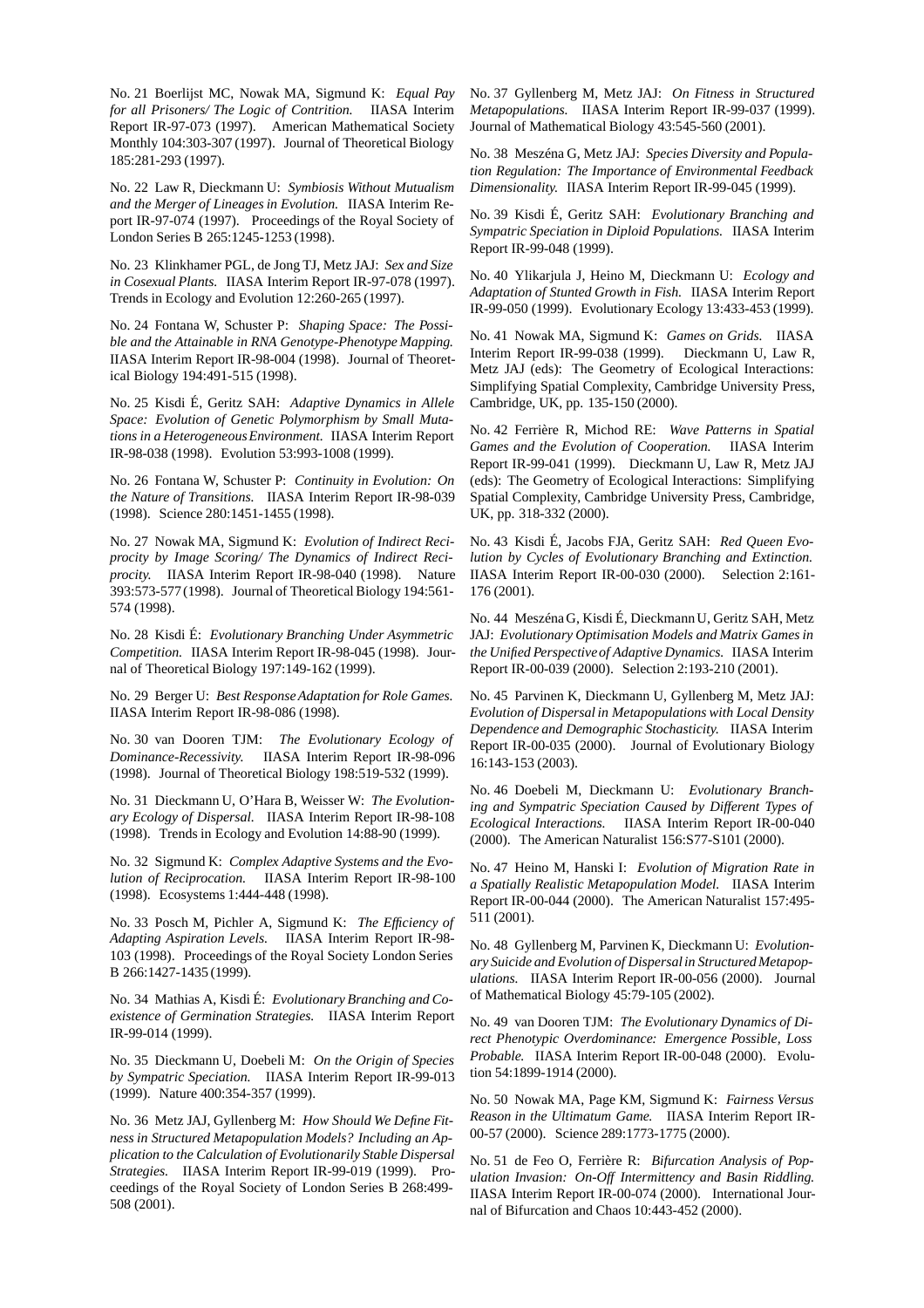No. 21 Boerlijst MC, Nowak MA, Sigmund K: *Equal Pay for all Prisoners/ The Logic of Contrition.* IIASA Interim Report IR-97-073 (1997). American Mathematical Society Monthly 104:303-307 (1997). Journal of Theoretical Biology 185:281-293 (1997).

No. 22 Law R, Dieckmann U: *Symbiosis Without Mutualism and the Merger of Lineages in Evolution.* IIASA Interim Report IR-97-074 (1997). Proceedings of the Royal Society of London Series B 265:1245-1253 (1998).

No. 23 Klinkhamer PGL, de Jong TJ, Metz JAJ: *Sex and Size in Cosexual Plants.* IIASA Interim Report IR-97-078 (1997). Trends in Ecology and Evolution 12:260-265 (1997).

No. 24 Fontana W, Schuster P: *Shaping Space: The Possible and the Attainable in RNA Genotype-Phenotype Mapping.* IIASA Interim Report IR-98-004 (1998). Journal of Theoretical Biology 194:491-515 (1998).

No. 25 Kisdi É, Geritz SAH: *Adaptive Dynamics in Allele Space: Evolution of Genetic Polymorphism by Small Mutations in a HeterogeneousEnvironment.* IIASA Interim Report IR-98-038 (1998). Evolution 53:993-1008 (1999).

No. 26 Fontana W, Schuster P: *Continuity in Evolution: On the Nature of Transitions.* IIASA Interim Report IR-98-039 (1998). Science 280:1451-1455 (1998).

No. 27 Nowak MA, Sigmund K: *Evolution of Indirect Reciprocity by Image Scoring/ The Dynamics of Indirect Reciprocity.* IIASA Interim Report IR-98-040 (1998). Nature 393:573-577 (1998). Journal of Theoretical Biology 194:561- 574 (1998).

No. 28 Kisdi É: *Evolutionary Branching Under Asymmetric Competition.* IIASA Interim Report IR-98-045 (1998). Journal of Theoretical Biology 197:149-162 (1999).

No. 29 Berger U: *Best Response Adaptation for Role Games.* IIASA Interim Report IR-98-086 (1998).

No. 30 van Dooren TJM: *The Evolutionary Ecology of Dominance-Recessivity.* IIASA Interim Report IR-98-096 (1998). Journal of Theoretical Biology 198:519-532 (1999).

No. 31 Dieckmann U, O'Hara B, Weisser W: *The Evolutionary Ecology of Dispersal.* IIASA Interim Report IR-98-108 (1998). Trends in Ecology and Evolution 14:88-90 (1999).

No. 32 Sigmund K: *Complex Adaptive Systems and the Evolution of Reciprocation.* IIASA Interim Report IR-98-100 (1998). Ecosystems 1:444-448 (1998).

No. 33 Posch M, Pichler A, Sigmund K: *The Efficiency of Adapting Aspiration Levels.* IIASA Interim Report IR-98- 103 (1998). Proceedings of the Royal Society London Series B 266:1427-1435 (1999).

No. 34 Mathias A, Kisdi É: *Evolutionary Branching and Coexistence of Germination Strategies.* IIASA Interim Report IR-99-014 (1999).

No. 35 Dieckmann U, Doebeli M: *On the Origin of Species by Sympatric Speciation.* IIASA Interim Report IR-99-013 (1999). Nature 400:354-357 (1999).

No. 36 Metz JAJ, Gyllenberg M: *How Should We Define Fitness in Structured Metapopulation Models? Including an Application to the Calculation of Evolutionarily Stable Dispersal Strategies.* IIASA Interim Report IR-99-019 (1999). Proceedings of the Royal Society of London Series B 268:499- 508 (2001).

No. 37 Gyllenberg M, Metz JAJ: *On Fitness in Structured Metapopulations.* IIASA Interim Report IR-99-037 (1999). Journal of Mathematical Biology 43:545-560 (2001).

No. 38 Meszéna G, Metz JAJ: *Species Diversity and Population Regulation: The Importance of Environmental Feedback Dimensionality.* IIASA Interim Report IR-99-045 (1999).

No. 39 Kisdi É, Geritz SAH: *Evolutionary Branching and Sympatric Speciation in Diploid Populations.* IIASA Interim Report IR-99-048 (1999).

No. 40 Ylikarjula J, Heino M, Dieckmann U: *Ecology and Adaptation of Stunted Growth in Fish.* IIASA Interim Report IR-99-050 (1999). Evolutionary Ecology 13:433-453 (1999).

No. 41 Nowak MA, Sigmund K: *Games on Grids.* IIASA Interim Report IR-99-038 (1999). Dieckmann U, Law R, Metz JAJ (eds): The Geometry of Ecological Interactions: Simplifying Spatial Complexity, Cambridge University Press, Cambridge, UK, pp. 135-150 (2000).

No. 42 Ferrière R, Michod RE: *Wave Patterns in Spatial Games and the Evolution of Cooperation.* IIASA Interim Report IR-99-041 (1999). Dieckmann U, Law R, Metz JAJ (eds): The Geometry of Ecological Interactions: Simplifying Spatial Complexity, Cambridge University Press, Cambridge, UK, pp. 318-332 (2000).

No. 43 Kisdi É, Jacobs FJA, Geritz SAH: *Red Queen Evolution by Cycles of Evolutionary Branching and Extinction.* IIASA Interim Report IR-00-030 (2000). Selection 2:161- 176 (2001).

No. 44 Meszéna G, Kisdi É, Dieckmann U, Geritz SAH, Metz JAJ: *Evolutionary Optimisation Models and Matrix Games in the Unified Perspective of Adaptive Dynamics.* IIASA Interim Report IR-00-039 (2000). Selection 2:193-210 (2001).

No. 45 Parvinen K, Dieckmann U, Gyllenberg M, Metz JAJ: *Evolution of Dispersal in Metapopulations with Local Density Dependence and Demographic Stochasticity.* IIASA Interim Report IR-00-035 (2000). Journal of Evolutionary Biology 16:143-153 (2003).

No. 46 Doebeli M, Dieckmann U: *Evolutionary Branching and Sympatric Speciation Caused by Different Types of Ecological Interactions.* IIASA Interim Report IR-00-040 (2000). The American Naturalist 156:S77-S101 (2000).

No. 47 Heino M, Hanski I: *Evolution of Migration Rate in a Spatially Realistic Metapopulation Model.* IIASA Interim Report IR-00-044 (2000). The American Naturalist 157:495- 511 (2001).

No. 48 Gyllenberg M, Parvinen K, Dieckmann U: *Evolutionary Suicide and Evolution of Dispersalin StructuredMetapopulations.* IIASA Interim Report IR-00-056 (2000). Journal of Mathematical Biology 45:79-105 (2002).

No. 49 van Dooren TJM: *The Evolutionary Dynamics of Direct Phenotypic Overdominance: Emergence Possible, Loss Probable.* IIASA Interim Report IR-00-048 (2000). Evolution 54:1899-1914 (2000).

No. 50 Nowak MA, Page KM, Sigmund K: *Fairness Versus Reason in the Ultimatum Game.* IIASA Interim Report IR-00-57 (2000). Science 289:1773-1775 (2000).

No. 51 de Feo O, Ferrière R: *Bifurcation Analysis of Population Invasion: On-Off Intermittency and Basin Riddling.* IIASA Interim Report IR-00-074 (2000). International Journal of Bifurcation and Chaos 10:443-452 (2000).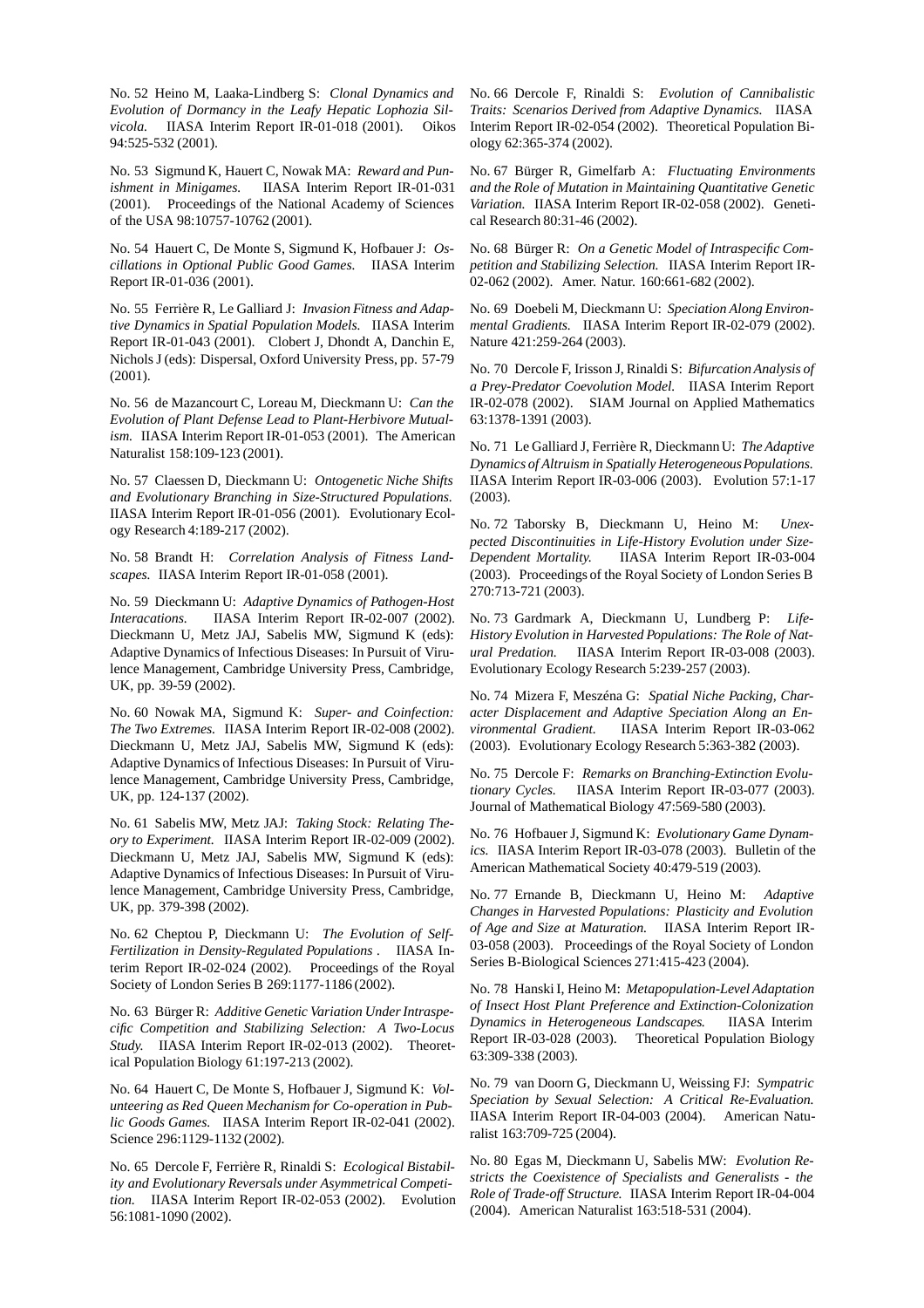No. 52 Heino M, Laaka-Lindberg S: *Clonal Dynamics and Evolution of Dormancy in the Leafy Hepatic Lophozia Silvicola.* IIASA Interim Report IR-01-018 (2001). Oikos 94:525-532 (2001).

No. 53 Sigmund K, Hauert C, Nowak MA: *Reward and Punishment in Minigames.* IIASA Interim Report IR-01-031 (2001). Proceedings of the National Academy of Sciences of the USA 98:10757-10762 (2001).

No. 54 Hauert C, De Monte S, Sigmund K, Hofbauer J: *Oscillations in Optional Public Good Games.* IIASA Interim Report IR-01-036 (2001).

No. 55 Ferrière R, Le Galliard J: *Invasion Fitness and Adaptive Dynamics in Spatial Population Models.* IIASA Interim Report IR-01-043 (2001). Clobert J, Dhondt A, Danchin E, Nichols J (eds): Dispersal, Oxford University Press, pp. 57-79 (2001).

No. 56 de Mazancourt C, Loreau M, Dieckmann U: *Can the Evolution of Plant Defense Lead to Plant-Herbivore Mutualism.* IIASA Interim Report IR-01-053 (2001). The American Naturalist 158:109-123 (2001).

No. 57 Claessen D, Dieckmann U: *Ontogenetic Niche Shifts and Evolutionary Branching in Size-Structured Populations.* IIASA Interim Report IR-01-056 (2001). Evolutionary Ecology Research 4:189-217 (2002).

No. 58 Brandt H: *Correlation Analysis of Fitness Landscapes.* IIASA Interim Report IR-01-058 (2001).

No. 59 Dieckmann U: *Adaptive Dynamics of Pathogen-Host Interacations.* IIASA Interim Report IR-02-007 (2002). Dieckmann U, Metz JAJ, Sabelis MW, Sigmund K (eds): Adaptive Dynamics of Infectious Diseases: In Pursuit of Virulence Management, Cambridge University Press, Cambridge, UK, pp. 39-59 (2002).

No. 60 Nowak MA, Sigmund K: *Super- and Coinfection: The Two Extremes.* IIASA Interim Report IR-02-008 (2002). Dieckmann U, Metz JAJ, Sabelis MW, Sigmund K (eds): Adaptive Dynamics of Infectious Diseases: In Pursuit of Virulence Management, Cambridge University Press, Cambridge, UK, pp. 124-137 (2002).

No. 61 Sabelis MW, Metz JAJ: *Taking Stock: Relating Theory to Experiment.* IIASA Interim Report IR-02-009 (2002). Dieckmann U, Metz JAJ, Sabelis MW, Sigmund K (eds): Adaptive Dynamics of Infectious Diseases: In Pursuit of Virulence Management, Cambridge University Press, Cambridge, UK, pp. 379-398 (2002).

No. 62 Cheptou P, Dieckmann U: *The Evolution of Self-Fertilization in Density-Regulated Populations .* IIASA Interim Report IR-02-024 (2002). Proceedings of the Royal Society of London Series B 269:1177-1186 (2002).

No. 63 Bürger R: *Additive Genetic Variation Under Intraspecific Competition and Stabilizing Selection: A Two-Locus Study.* IIASA Interim Report IR-02-013 (2002). Theoretical Population Biology 61:197-213 (2002).

No. 64 Hauert C, De Monte S, Hofbauer J, Sigmund K: *Volunteering as Red Queen Mechanism for Co-operation in Public Goods Games.* IIASA Interim Report IR-02-041 (2002). Science 296:1129-1132 (2002).

No. 65 Dercole F, Ferrière R, Rinaldi S: *Ecological Bistability and Evolutionary Reversals under Asymmetrical Competition.* IIASA Interim Report IR-02-053 (2002). Evolution 56:1081-1090 (2002).

No. 66 Dercole F, Rinaldi S: *Evolution of Cannibalistic Traits: Scenarios Derived from Adaptive Dynamics.* IIASA Interim Report IR-02-054 (2002). Theoretical Population Biology 62:365-374 (2002).

No. 67 Bürger R, Gimelfarb A: *Fluctuating Environments and the Role of Mutation in Maintaining Quantitative Genetic Variation.* IIASA Interim Report IR-02-058 (2002). Genetical Research 80:31-46 (2002).

No. 68 Bürger R: *On a Genetic Model of Intraspecific Competition and Stabilizing Selection.* IIASA Interim Report IR-02-062 (2002). Amer. Natur. 160:661-682 (2002).

No. 69 Doebeli M, Dieckmann U: *Speciation Along Environmental Gradients.* IIASA Interim Report IR-02-079 (2002). Nature 421:259-264 (2003).

No. 70 Dercole F, Irisson J, Rinaldi S: *Bifurcation Analysis of a Prey-Predator Coevolution Model.* IIASA Interim Report IR-02-078 (2002). SIAM Journal on Applied Mathematics 63:1378-1391 (2003).

No. 71 Le Galliard J, Ferrière R, Dieckmann U: *The Adaptive Dynamics of Altruism in Spatially HeterogeneousPopulations.* IIASA Interim Report IR-03-006 (2003). Evolution 57:1-17 (2003).

No. 72 Taborsky B, Dieckmann U, Heino M: *Unexpected Discontinuities in Life-History Evolution under Size-Dependent Mortality.* IIASA Interim Report IR-03-004 (2003). Proceedings of the Royal Society of London Series B 270:713-721 (2003).

No. 73 Gardmark A, Dieckmann U, Lundberg P: *Life-History Evolution in Harvested Populations: The Role of Natural Predation.* IIASA Interim Report IR-03-008 (2003). Evolutionary Ecology Research 5:239-257 (2003).

No. 74 Mizera F, Meszéna G: *Spatial Niche Packing, Character Displacement and Adaptive Speciation Along an Environmental Gradient.* IIASA Interim Report IR-03-062 (2003). Evolutionary Ecology Research 5:363-382 (2003).

No. 75 Dercole F: *Remarks on Branching-Extinction Evolutionary Cycles.* IIASA Interim Report IR-03-077 (2003). Journal of Mathematical Biology 47:569-580 (2003).

No. 76 Hofbauer J, Sigmund K: *Evolutionary Game Dynamics.* IIASA Interim Report IR-03-078 (2003). Bulletin of the American Mathematical Society 40:479-519 (2003).

No. 77 Ernande B, Dieckmann U, Heino M: *Adaptive Changes in Harvested Populations: Plasticity and Evolution of Age and Size at Maturation.* IIASA Interim Report IR-03-058 (2003). Proceedings of the Royal Society of London Series B-Biological Sciences 271:415-423 (2004).

No. 78 Hanski I, Heino M: *Metapopulation-Level Adaptation of Insect Host Plant Preference and Extinction-Colonization Dynamics in Heterogeneous Landscapes.* IIASA Interim Report IR-03-028 (2003). Theoretical Population Biology 63:309-338 (2003).

No. 79 van Doorn G, Dieckmann U, Weissing FJ: *Sympatric Speciation by Sexual Selection: A Critical Re-Evaluation.* IIASA Interim Report IR-04-003 (2004). American Naturalist 163:709-725 (2004).

No. 80 Egas M, Dieckmann U, Sabelis MW: *Evolution Restricts the Coexistence of Specialists and Generalists - the Role of Trade-off Structure.* IIASA Interim Report IR-04-004 (2004). American Naturalist 163:518-531 (2004).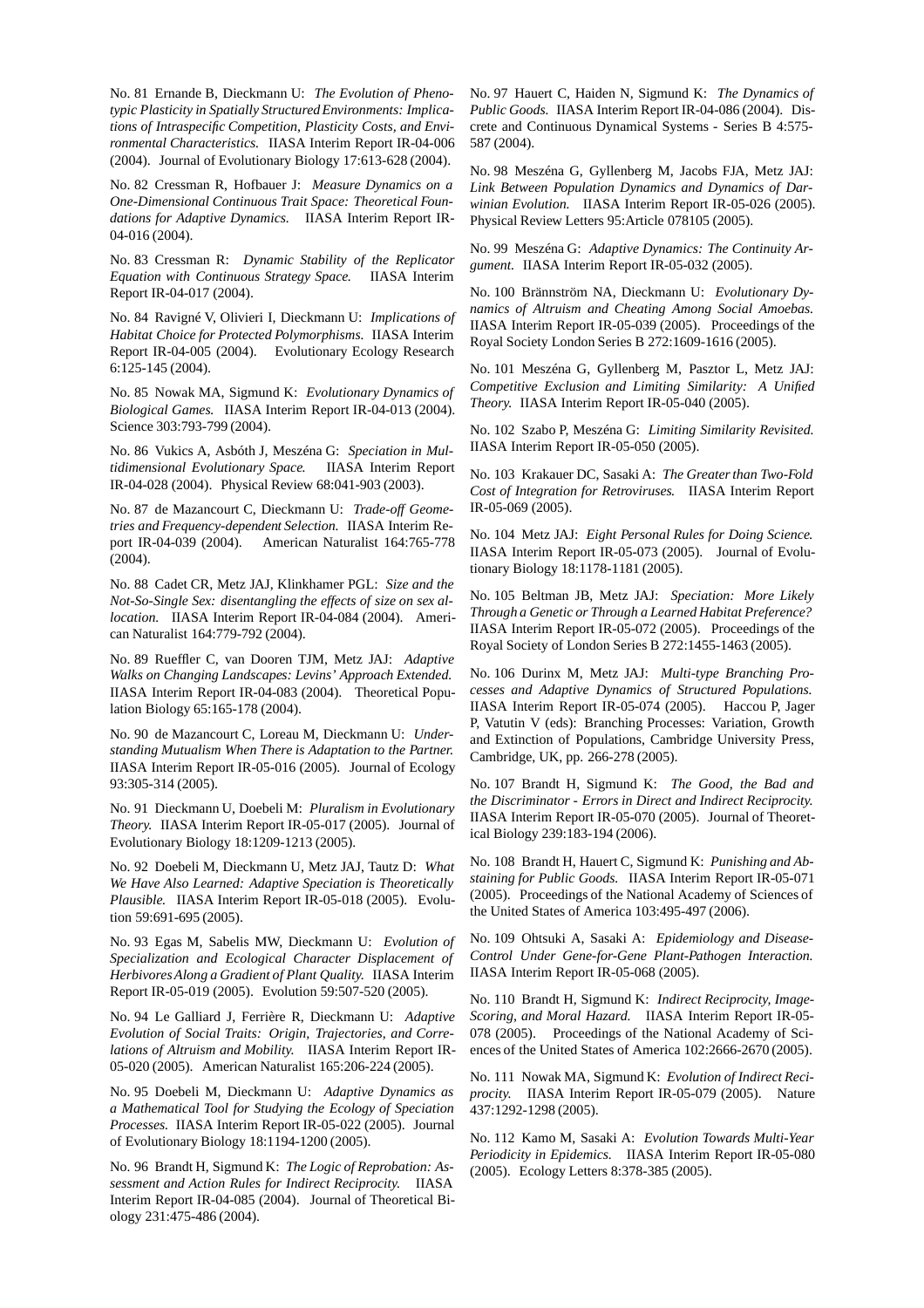No. 81 Ernande B, Dieckmann U: *The Evolution of Phenotypic Plasticity in Spatially Structured Environments: Implications of Intraspecific Competition, Plasticity Costs, and Environmental Characteristics.* IIASA Interim Report IR-04-006 (2004). Journal of Evolutionary Biology 17:613-628 (2004).

No. 82 Cressman R, Hofbauer J: *Measure Dynamics on a One-Dimensional Continuous Trait Space: Theoretical Foundations for Adaptive Dynamics.* IIASA Interim Report IR-04-016 (2004).

No. 83 Cressman R: *Dynamic Stability of the Replicator Equation with Continuous Strategy Space.* IIASA Interim Report IR-04-017 (2004).

No. 84 Ravigné V, Olivieri I, Dieckmann U: *Implications of Habitat Choice for Protected Polymorphisms.* IIASA Interim Report IR-04-005 (2004). Evolutionary Ecology Research 6:125-145 (2004).

No. 85 Nowak MA, Sigmund K: *Evolutionary Dynamics of Biological Games.* IIASA Interim Report IR-04-013 (2004). Science 303:793-799 (2004).

No. 86 Vukics A, Asbóth J, Meszéna G: *Speciation in Multidimensional Evolutionary Space.* IIASA Interim Report IR-04-028 (2004). Physical Review 68:041-903 (2003).

No. 87 de Mazancourt C, Dieckmann U: *Trade-off Geometries and Frequency-dependent Selection.* IIASA Interim Report IR-04-039 (2004). American Naturalist 164:765-778 (2004).

No. 88 Cadet CR, Metz JAJ, Klinkhamer PGL: *Size and the Not-So-Single Sex: disentangling the effects of size on sex allocation.* IIASA Interim Report IR-04-084 (2004). American Naturalist 164:779-792 (2004).

No. 89 Rueffler C, van Dooren TJM, Metz JAJ: *Adaptive Walks on Changing Landscapes: Levins' Approach Extended.* IIASA Interim Report IR-04-083 (2004). Theoretical Population Biology 65:165-178 (2004).

No. 90 de Mazancourt C, Loreau M, Dieckmann U: *Understanding Mutualism When There is Adaptation to the Partner.* IIASA Interim Report IR-05-016 (2005). Journal of Ecology 93:305-314 (2005).

No. 91 Dieckmann U, Doebeli M: *Pluralism in Evolutionary Theory.* IIASA Interim Report IR-05-017 (2005). Journal of Evolutionary Biology 18:1209-1213 (2005).

No. 92 Doebeli M, Dieckmann U, Metz JAJ, Tautz D: *What We Have Also Learned: Adaptive Speciation is Theoretically Plausible.* IIASA Interim Report IR-05-018 (2005). Evolution 59:691-695 (2005).

No. 93 Egas M, Sabelis MW, Dieckmann U: *Evolution of Specialization and Ecological Character Displacement of Herbivores Along a Gradient of Plant Quality.* IIASA Interim Report IR-05-019 (2005). Evolution 59:507-520 (2005).

No. 94 Le Galliard J, Ferrière R, Dieckmann U: *Adaptive Evolution of Social Traits: Origin, Trajectories, and Correlations of Altruism and Mobility.* IIASA Interim Report IR-05-020 (2005). American Naturalist 165:206-224 (2005).

No. 95 Doebeli M, Dieckmann U: *Adaptive Dynamics as a Mathematical Tool for Studying the Ecology of Speciation Processes.* IIASA Interim Report IR-05-022 (2005). Journal of Evolutionary Biology 18:1194-1200 (2005).

No. 96 Brandt H, Sigmund K: *The Logic of Reprobation: Assessment and Action Rules for Indirect Reciprocity.* IIASA Interim Report IR-04-085 (2004). Journal of Theoretical Biology 231:475-486 (2004).

No. 97 Hauert C, Haiden N, Sigmund K: *The Dynamics of Public Goods.* IIASA Interim Report IR-04-086 (2004). Discrete and Continuous Dynamical Systems - Series B 4:575- 587 (2004).

No. 98 Meszéna G, Gyllenberg M, Jacobs FJA, Metz JAJ: *Link Between Population Dynamics and Dynamics of Darwinian Evolution.* IIASA Interim Report IR-05-026 (2005). Physical Review Letters 95:Article 078105 (2005).

No. 99 Meszéna G: *Adaptive Dynamics: The Continuity Argument.* IIASA Interim Report IR-05-032 (2005).

No. 100 Brännström NA, Dieckmann U: *Evolutionary Dynamics of Altruism and Cheating Among Social Amoebas.* IIASA Interim Report IR-05-039 (2005). Proceedings of the Royal Society London Series B 272:1609-1616 (2005).

No. 101 Meszéna G, Gyllenberg M, Pasztor L, Metz JAJ: *Competitive Exclusion and Limiting Similarity: A Unified Theory.* IIASA Interim Report IR-05-040 (2005).

No. 102 Szabo P, Meszéna G: *Limiting Similarity Revisited.* IIASA Interim Report IR-05-050 (2005).

No. 103 Krakauer DC, Sasaki A: *The Greater than Two-Fold Cost of Integration for Retroviruses.* IIASA Interim Report IR-05-069 (2005).

No. 104 Metz JAJ: *Eight Personal Rules for Doing Science.* IIASA Interim Report IR-05-073 (2005). Journal of Evolutionary Biology 18:1178-1181 (2005).

No. 105 Beltman JB, Metz JAJ: *Speciation: More Likely Through a Genetic or Through a Learned Habitat Preference?* IIASA Interim Report IR-05-072 (2005). Proceedings of the Royal Society of London Series B 272:1455-1463 (2005).

No. 106 Durinx M, Metz JAJ: *Multi-type Branching Processes and Adaptive Dynamics of Structured Populations.* IIASA Interim Report IR-05-074 (2005). Haccou P, Jager P, Vatutin V (eds): Branching Processes: Variation, Growth and Extinction of Populations, Cambridge University Press, Cambridge, UK, pp. 266-278 (2005).

No. 107 Brandt H, Sigmund K: *The Good, the Bad and the Discriminator - Errors in Direct and Indirect Reciprocity.* IIASA Interim Report IR-05-070 (2005). Journal of Theoretical Biology 239:183-194 (2006).

No. 108 Brandt H, Hauert C, Sigmund K: *Punishing and Abstaining for Public Goods.* IIASA Interim Report IR-05-071 (2005). Proceedings of the National Academy of Sciences of the United States of America 103:495-497 (2006).

No. 109 Ohtsuki A, Sasaki A: *Epidemiology and Disease-Control Under Gene-for-Gene Plant-Pathogen Interaction.* IIASA Interim Report IR-05-068 (2005).

No. 110 Brandt H, Sigmund K: *Indirect Reciprocity, Image-Scoring, and Moral Hazard.* IIASA Interim Report IR-05- 078 (2005). Proceedings of the National Academy of Sciences of the United States of America 102:2666-2670 (2005).

No. 111 Nowak MA, Sigmund K: *Evolution of Indirect Reciprocity.* IIASA Interim Report IR-05-079 (2005). Nature 437:1292-1298 (2005).

No. 112 Kamo M, Sasaki A: *Evolution Towards Multi-Year Periodicity in Epidemics.* IIASA Interim Report IR-05-080 (2005). Ecology Letters 8:378-385 (2005).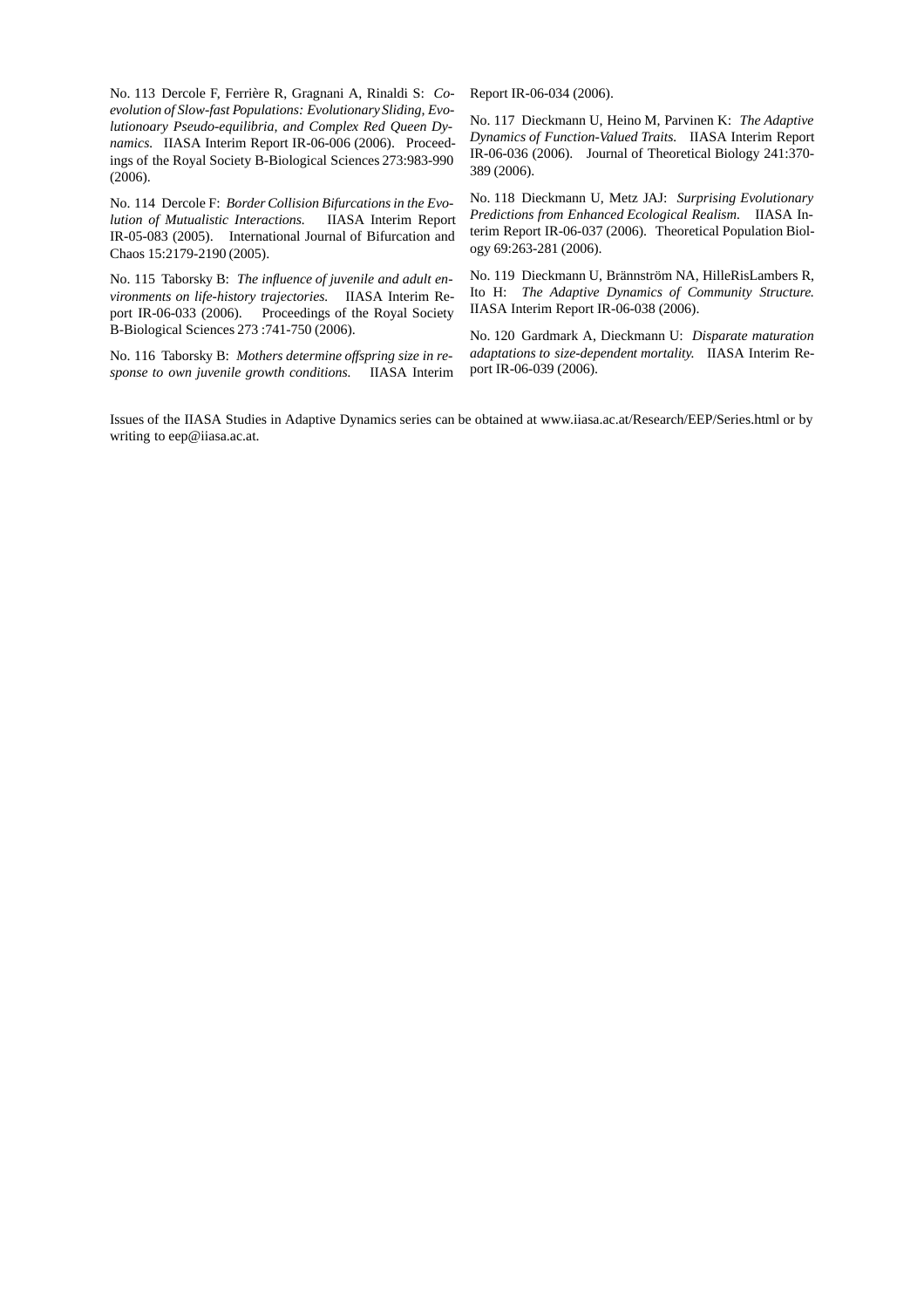No. 113 Dercole F, Ferrière R, Gragnani A, Rinaldi S: *Coevolution of Slow-fast Populations: Evolutionary Sliding, Evolutionoary Pseudo-equilibria, and Complex Red Queen Dynamics.* IIASA Interim Report IR-06-006 (2006). Proceedings of the Royal Society B-Biological Sciences 273:983-990 (2006).

No. 114 Dercole F: *Border Collision Bifurcations in the Evolution of Mutualistic Interactions.* IIASA Interim Report IR-05-083 (2005). International Journal of Bifurcation and Chaos 15:2179-2190 (2005).

No. 115 Taborsky B: *The influence of juvenile and adult environments on life-history trajectories.* IIASA Interim Report IR-06-033 (2006). Proceedings of the Royal Society B-Biological Sciences 273 :741-750 (2006).

No. 116 Taborsky B: *Mothers determine offspring size in response to own juvenile growth conditions.* IIASA Interim Report IR-06-034 (2006).

No. 117 Dieckmann U, Heino M, Parvinen K: *The Adaptive Dynamics of Function-Valued Traits.* IIASA Interim Report IR-06-036 (2006). Journal of Theoretical Biology 241:370- 389 (2006).

No. 118 Dieckmann U, Metz JAJ: *Surprising Evolutionary Predictions from Enhanced Ecological Realism.* IIASA Interim Report IR-06-037 (2006). Theoretical Population Biology 69:263-281 (2006).

No. 119 Dieckmann U, Brännström NA, HilleRisLambers R, Ito H: *The Adaptive Dynamics of Community Structure.* IIASA Interim Report IR-06-038 (2006).

No. 120 Gardmark A, Dieckmann U: *Disparate maturation adaptations to size-dependent mortality.* IIASA Interim Report IR-06-039 (2006).

Issues of the IIASA Studies in Adaptive Dynamics series can be obtained at www.iiasa.ac.at/Research/EEP/Series.html or by writing to eep@iiasa.ac.at.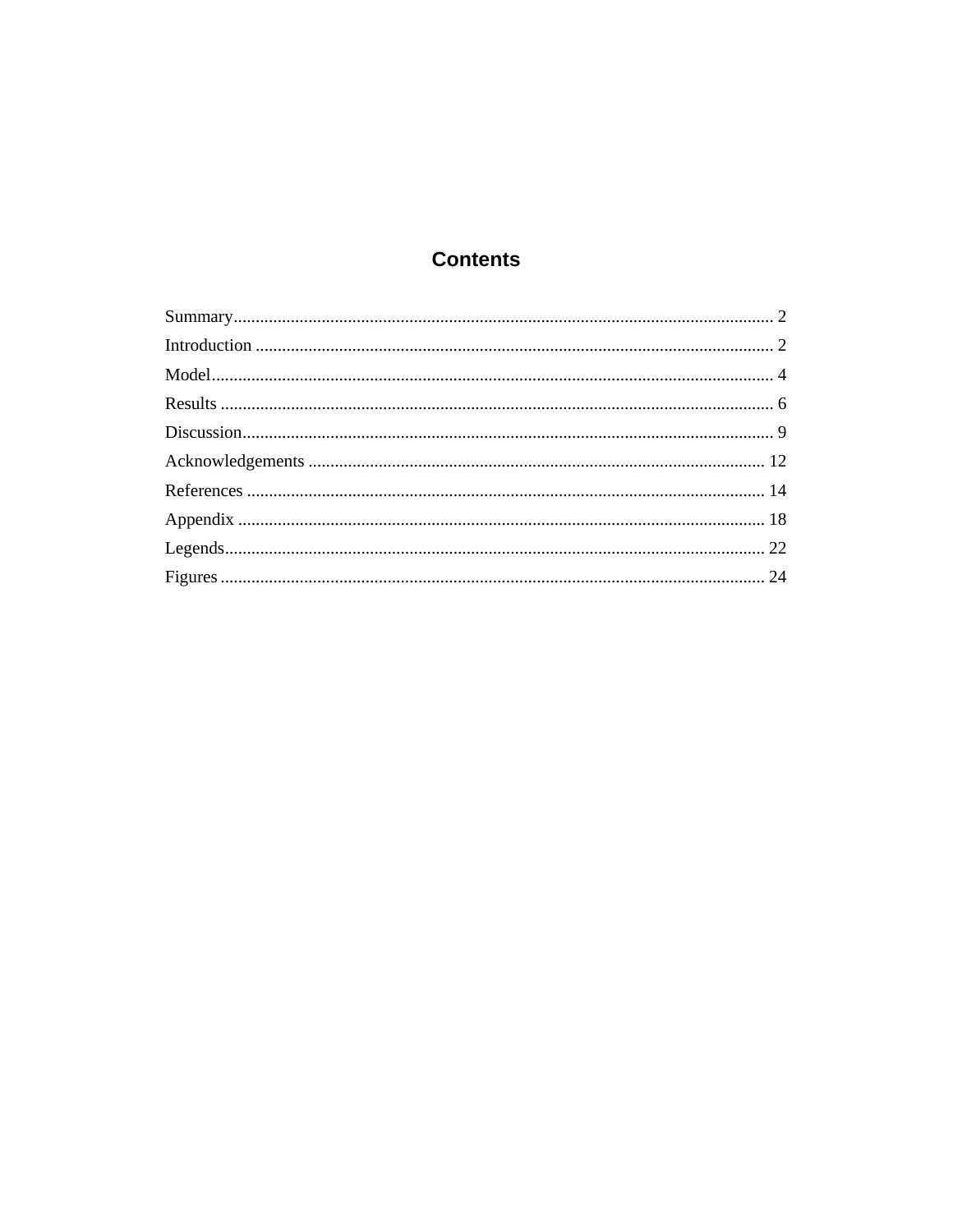# **Contents**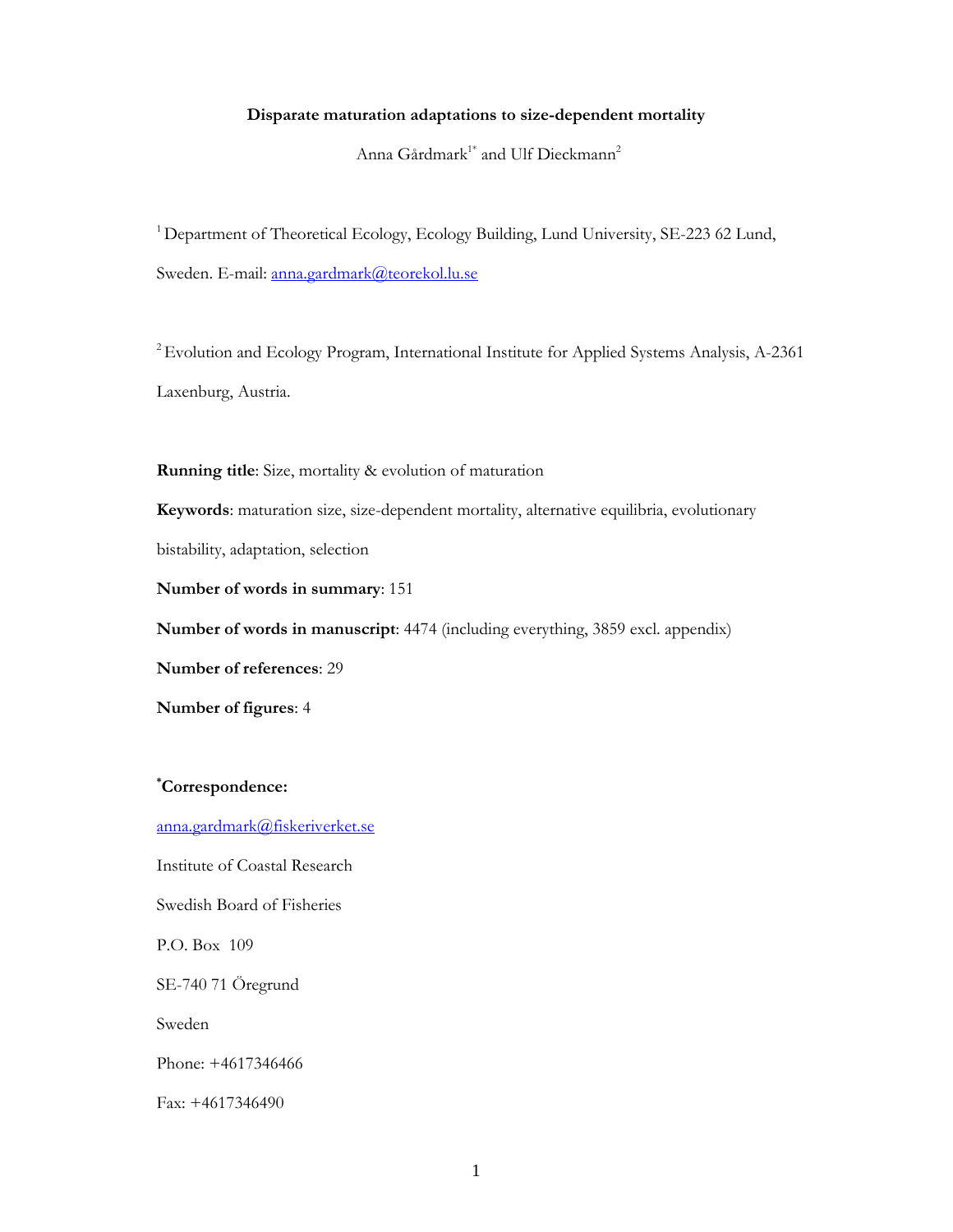### **Disparate maturation adaptations to size-dependent mortality**

Anna Gårdmark<sup>1\*</sup> and Ulf Dieckmann<sup>2</sup>

<sup>1</sup> Department of Theoretical Ecology, Ecology Building, Lund University, SE-223 62 Lund, Sweden. E-mail: anna.gardmark@teorekol.lu.se

<sup>2</sup> Evolution and Ecology Program, International Institute for Applied Systems Analysis, A-2361 Laxenburg, Austria.

**Running title**: Size, mortality & evolution of maturation

**Keywords**: maturation size, size-dependent mortality, alternative equilibria, evolutionary

bistability, adaptation, selection

**Number of words in summary**: 151

**Number of words in manuscript**: 4474 (including everything, 3859 excl. appendix)

**Number of references**: 29

**Number of figures**: 4

**\* Correspondence:** 

anna.gardmark@fiskeriverket.se

Institute of Coastal Research

Swedish Board of Fisheries

P.O. Box 109

SE-740 71 Öregrund

Sweden

Phone: +4617346466

Fax: +4617346490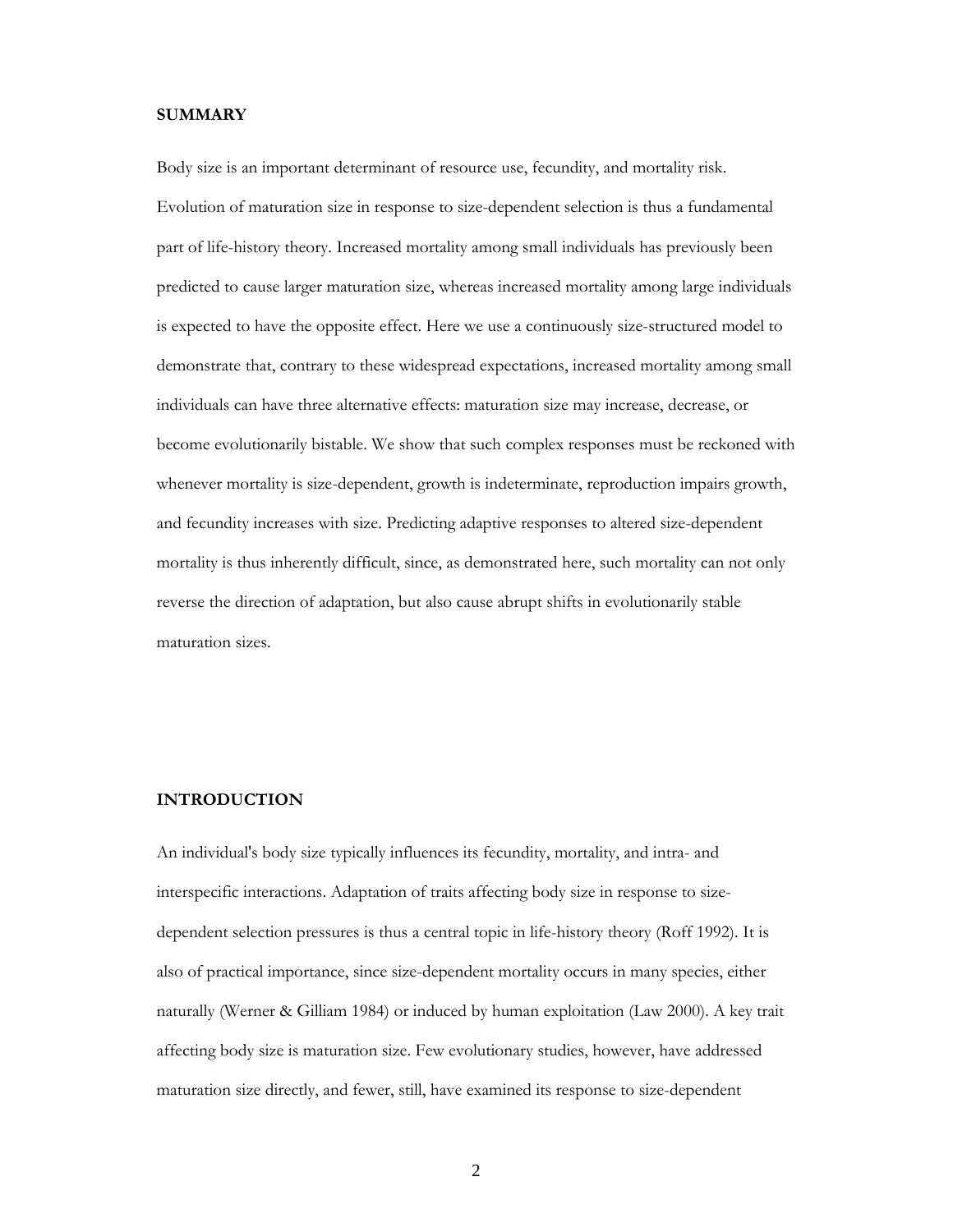#### **SUMMARY**

Body size is an important determinant of resource use, fecundity, and mortality risk. Evolution of maturation size in response to size-dependent selection is thus a fundamental part of life-history theory. Increased mortality among small individuals has previously been predicted to cause larger maturation size, whereas increased mortality among large individuals is expected to have the opposite effect. Here we use a continuously size-structured model to demonstrate that, contrary to these widespread expectations, increased mortality among small individuals can have three alternative effects: maturation size may increase, decrease, or become evolutionarily bistable. We show that such complex responses must be reckoned with whenever mortality is size-dependent, growth is indeterminate, reproduction impairs growth, and fecundity increases with size. Predicting adaptive responses to altered size-dependent mortality is thus inherently difficult, since, as demonstrated here, such mortality can not only reverse the direction of adaptation, but also cause abrupt shifts in evolutionarily stable maturation sizes.

## **INTRODUCTION**

An individual's body size typically influences its fecundity, mortality, and intra- and interspecific interactions. Adaptation of traits affecting body size in response to sizedependent selection pressures is thus a central topic in life-history theory (Roff 1992). It is also of practical importance, since size-dependent mortality occurs in many species, either naturally (Werner & Gilliam 1984) or induced by human exploitation (Law 2000). A key trait affecting body size is maturation size. Few evolutionary studies, however, have addressed maturation size directly, and fewer, still, have examined its response to size-dependent

2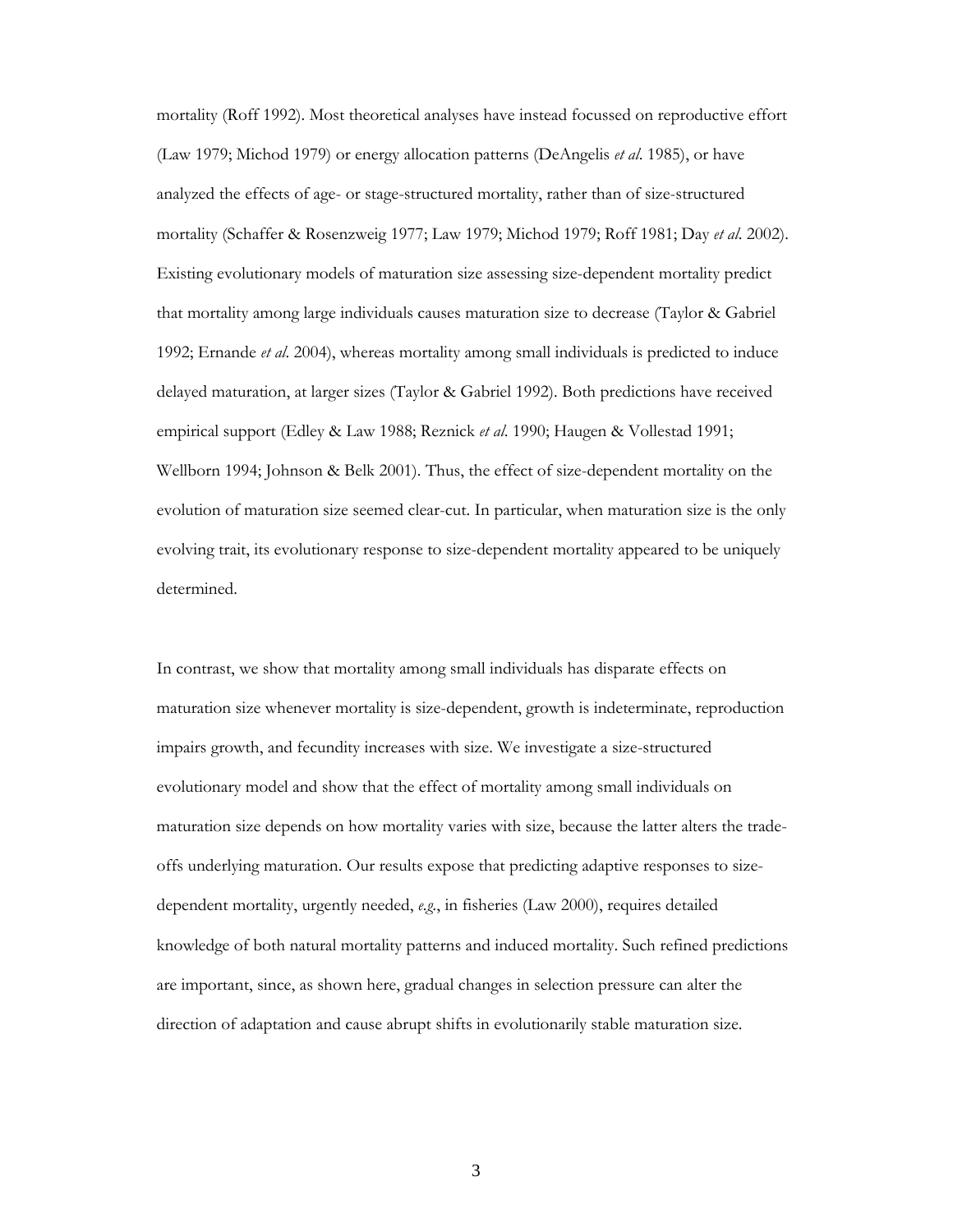mortality (Roff 1992). Most theoretical analyses have instead focussed on reproductive effort (Law 1979; Michod 1979) or energy allocation patterns (DeAngelis *et al*. 1985), or have analyzed the effects of age- or stage-structured mortality, rather than of size-structured mortality (Schaffer & Rosenzweig 1977; Law 1979; Michod 1979; Roff 1981; Day *et al*. 2002). Existing evolutionary models of maturation size assessing size-dependent mortality predict that mortality among large individuals causes maturation size to decrease (Taylor & Gabriel 1992; Ernande *et al*. 2004), whereas mortality among small individuals is predicted to induce delayed maturation, at larger sizes (Taylor & Gabriel 1992). Both predictions have received empirical support (Edley & Law 1988; Reznick *et al*. 1990; Haugen & Vollestad 1991; Wellborn 1994; Johnson & Belk 2001). Thus, the effect of size-dependent mortality on the evolution of maturation size seemed clear-cut. In particular, when maturation size is the only evolving trait, its evolutionary response to size-dependent mortality appeared to be uniquely determined.

In contrast, we show that mortality among small individuals has disparate effects on maturation size whenever mortality is size-dependent, growth is indeterminate, reproduction impairs growth, and fecundity increases with size. We investigate a size-structured evolutionary model and show that the effect of mortality among small individuals on maturation size depends on how mortality varies with size, because the latter alters the tradeoffs underlying maturation. Our results expose that predicting adaptive responses to sizedependent mortality, urgently needed, *e.g.*, in fisheries (Law 2000), requires detailed knowledge of both natural mortality patterns and induced mortality. Such refined predictions are important, since, as shown here, gradual changes in selection pressure can alter the direction of adaptation and cause abrupt shifts in evolutionarily stable maturation size.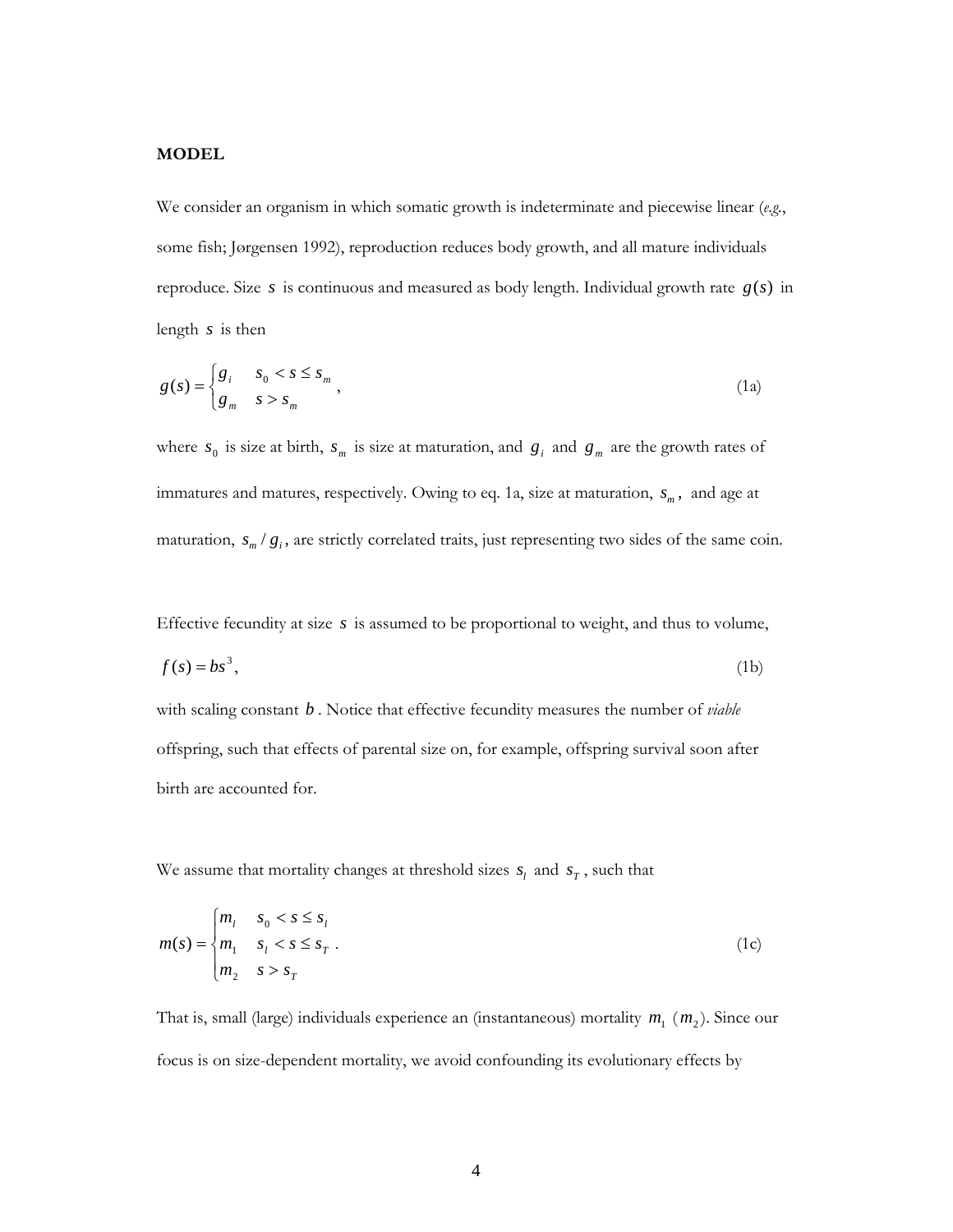## **MODEL**

We consider an organism in which somatic growth is indeterminate and piecewise linear (*e.g.*, some fish; Jørgensen 1992), reproduction reduces body growth, and all mature individuals reproduce. Size *s* is continuous and measured as body length. Individual growth rate *g*(*s*) in length *s* is then

$$
g(s) = \begin{cases} g_i & s_0 < s \le s_m \\ g_m & s > s_m \end{cases},
$$
\n(1a)

where  $s_0$  is size at birth,  $s_m$  is size at maturation, and  $g_i$  and  $g_m$  are the growth rates of immatures and matures, respectively. Owing to eq. 1a, size at maturation,  $s_m$ , and age at maturation,  $s_m / g_i$ , are strictly correlated traits, just representing two sides of the same coin.

Effective fecundity at size *s* is assumed to be proportional to weight, and thus to volume,

$$
f(s) = bs^3,\tag{1b}
$$

with scaling constant *b* . Notice that effective fecundity measures the number of *viable*  offspring, such that effects of parental size on, for example, offspring survival soon after birth are accounted for.

We assume that mortality changes at threshold sizes  $s_l$  and  $s_T$ , such that

$$
m(s) = \begin{cases} m_l & s_0 < s \le s_l \\ m_1 & s_l < s \le s_r \\ m_2 & s > s_r \end{cases}
$$
 (1c)

That is, small (large) individuals experience an (instantaneous) mortality  $m_1$  ( $m_2$ ). Since our focus is on size-dependent mortality, we avoid confounding its evolutionary effects by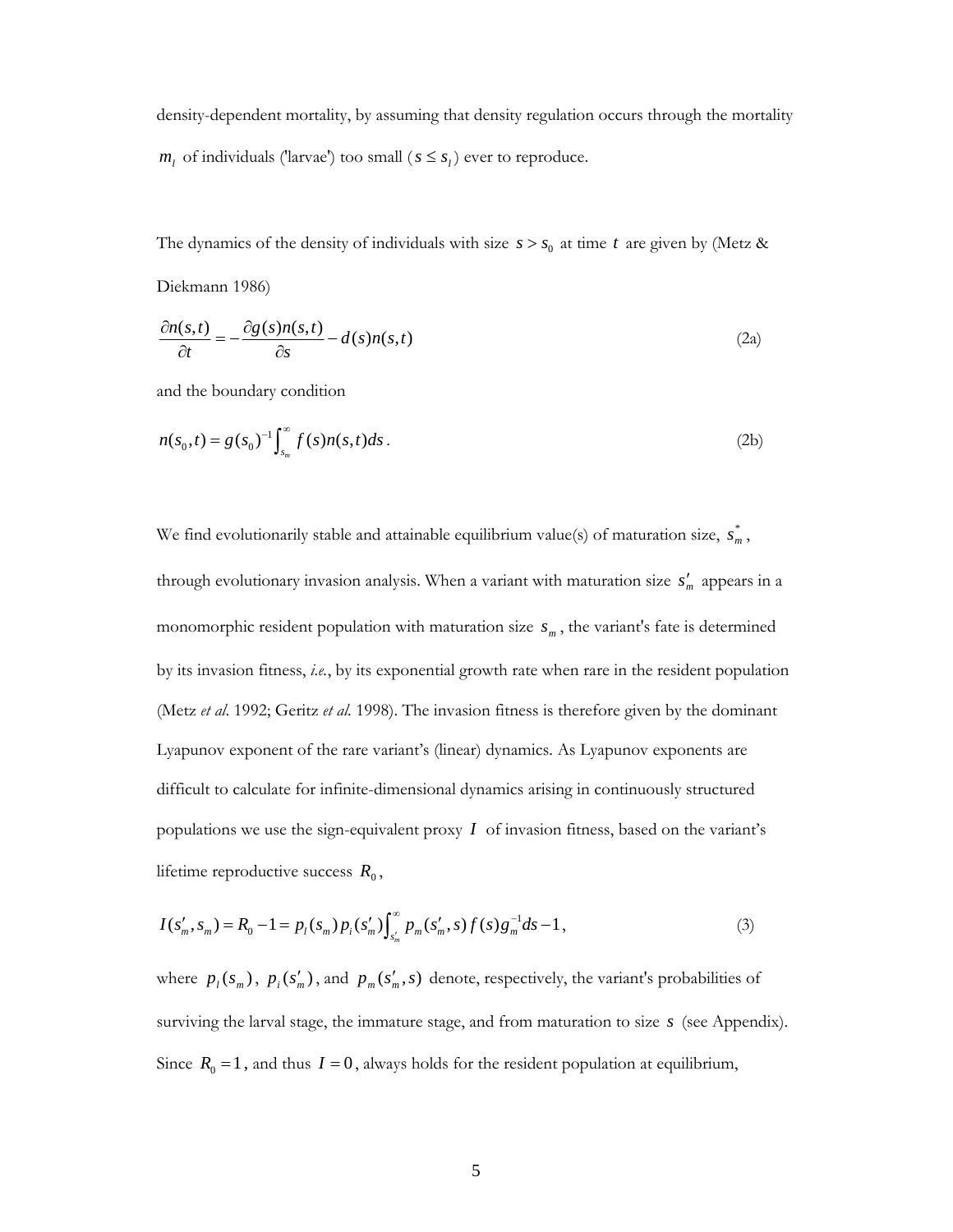density-dependent mortality, by assuming that density regulation occurs through the mortality  $m_l$  of individuals ('larvae') too small ( $s \leq s_l$ ) ever to reproduce.

The dynamics of the density of individuals with size  $s > s_0$  at time *t* are given by (Metz & Diekmann 1986)

$$
\frac{\partial n(s,t)}{\partial t} = -\frac{\partial g(s)n(s,t)}{\partial s} - d(s)n(s,t)
$$
\n(2a)

and the boundary condition

$$
n(s_0, t) = g(s_0)^{-1} \int_{s_m}^{\infty} f(s) n(s, t) ds.
$$
 (2b)

We find evolutionarily stable and attainable equilibrium value(s) of maturation size,  $s_m^*$ , through evolutionary invasion analysis. When a variant with maturation size  $s'_m$  appears in a monomorphic resident population with maturation size  $s_m$ , the variant's fate is determined by its invasion fitness, *i.e.*, by its exponential growth rate when rare in the resident population (Metz *et al*. 1992; Geritz *et al*. 1998). The invasion fitness is therefore given by the dominant Lyapunov exponent of the rare variant's (linear) dynamics. As Lyapunov exponents are difficult to calculate for infinite-dimensional dynamics arising in continuously structured populations we use the sign-equivalent proxy *I* of invasion fitness, based on the variant's lifetime reproductive success  $R_0$ ,

$$
I(s'_m, s_m) = R_0 - 1 = p_l(s_m) p_i(s'_m) \int_{s'_m}^{\infty} p_m(s'_m, s) f(s) g_m^{-1} ds - 1,
$$
\n(3)

where  $p_l(s_m)$ ,  $p_i(s'_m)$ , and  $p_m(s'_m, s)$  denote, respectively, the variant's probabilities of surviving the larval stage, the immature stage, and from maturation to size *s* (see Appendix). Since  $R_0 = 1$ , and thus  $I = 0$ , always holds for the resident population at equilibrium,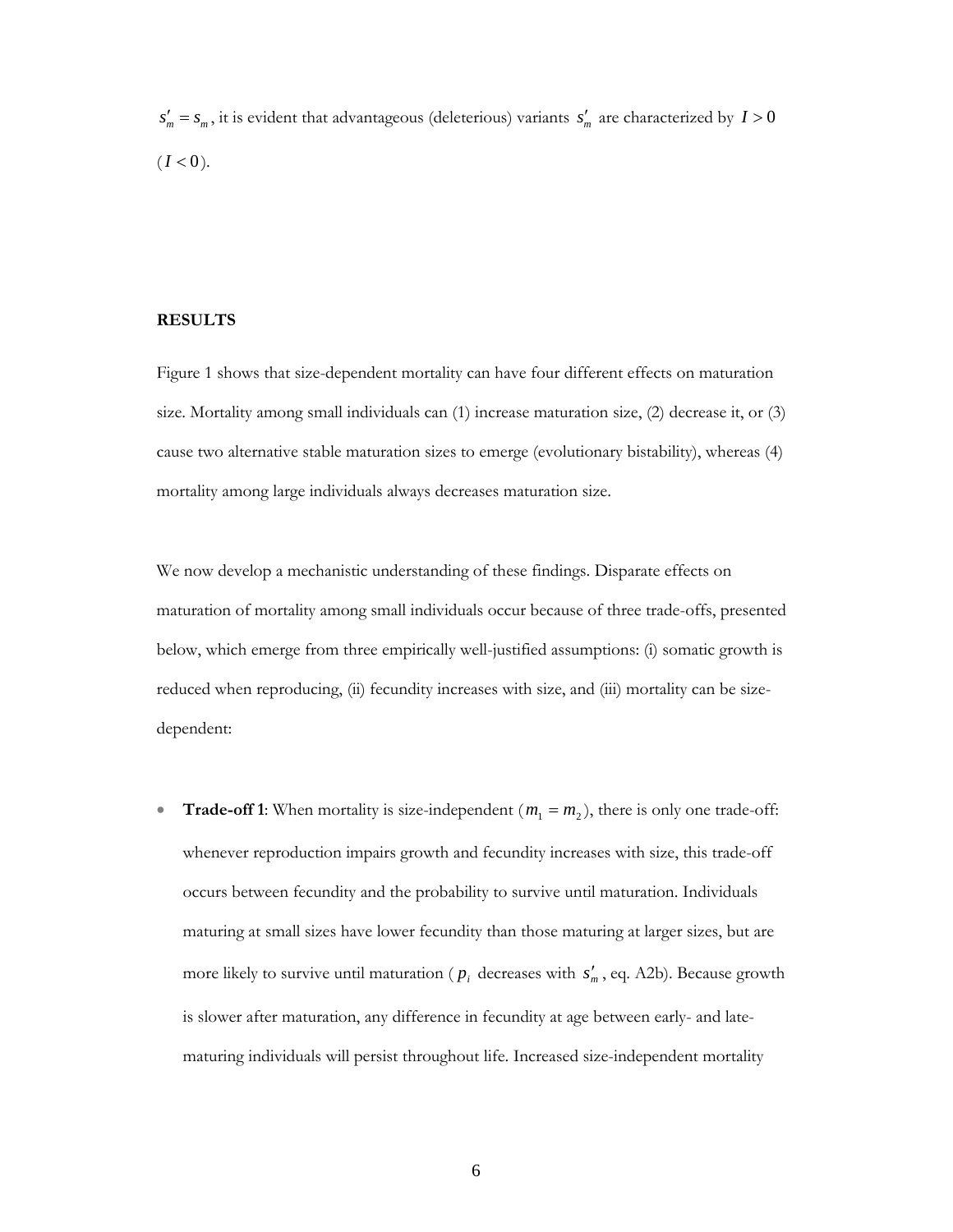$s'_m = s_m$ , it is evident that advantageous (deleterious) variants  $s'_m$  are characterized by  $I > 0$  $(I < 0)$ .

#### **RESULTS**

Figure 1 shows that size-dependent mortality can have four different effects on maturation size. Mortality among small individuals can (1) increase maturation size, (2) decrease it, or (3) cause two alternative stable maturation sizes to emerge (evolutionary bistability), whereas (4) mortality among large individuals always decreases maturation size.

We now develop a mechanistic understanding of these findings. Disparate effects on maturation of mortality among small individuals occur because of three trade-offs, presented below, which emerge from three empirically well-justified assumptions: (i) somatic growth is reduced when reproducing, (ii) fecundity increases with size, and (iii) mortality can be sizedependent:

• **Trade-off 1**: When mortality is size-independent  $(m_1 = m_2)$ , there is only one trade-off: whenever reproduction impairs growth and fecundity increases with size, this trade-off occurs between fecundity and the probability to survive until maturation. Individuals maturing at small sizes have lower fecundity than those maturing at larger sizes, but are more likely to survive until maturation ( $p_i$  decreases with  $s'_m$ , eq. A2b). Because growth is slower after maturation, any difference in fecundity at age between early- and latematuring individuals will persist throughout life. Increased size-independent mortality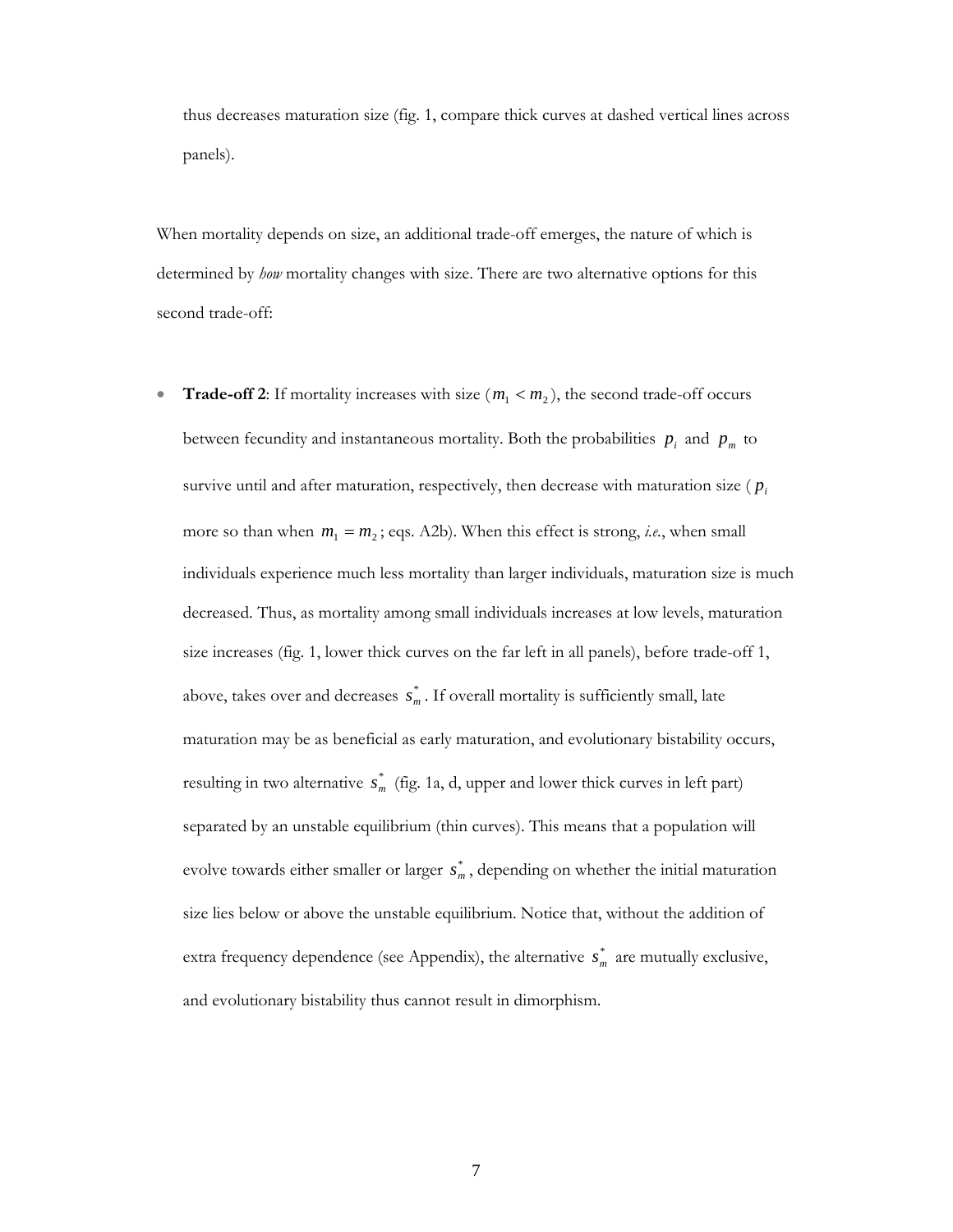thus decreases maturation size (fig. 1, compare thick curves at dashed vertical lines across panels).

When mortality depends on size, an additional trade-off emerges, the nature of which is determined by *how* mortality changes with size. There are two alternative options for this second trade-off:

• **Trade-off 2**: If mortality increases with size  $(m_1 < m_2)$ , the second trade-off occurs between fecundity and instantaneous mortality. Both the probabilities  $p_i$  and  $p_m$  to survive until and after maturation, respectively, then decrease with maturation size ( $p_i$ more so than when  $m_1 = m_2$ ; eqs. A2b). When this effect is strong, *i.e.*, when small individuals experience much less mortality than larger individuals, maturation size is much decreased. Thus, as mortality among small individuals increases at low levels, maturation size increases (fig. 1, lower thick curves on the far left in all panels), before trade-off 1, above, takes over and decreases  $s_m^*$ . If overall mortality is sufficiently small, late maturation may be as beneficial as early maturation, and evolutionary bistability occurs, resulting in two alternative  $s_m^*$  (fig. 1a, d, upper and lower thick curves in left part) separated by an unstable equilibrium (thin curves). This means that a population will evolve towards either smaller or larger  $s_m^*$ , depending on whether the initial maturation size lies below or above the unstable equilibrium. Notice that, without the addition of extra frequency dependence (see Appendix), the alternative  $s_m^*$  are mutually exclusive, and evolutionary bistability thus cannot result in dimorphism.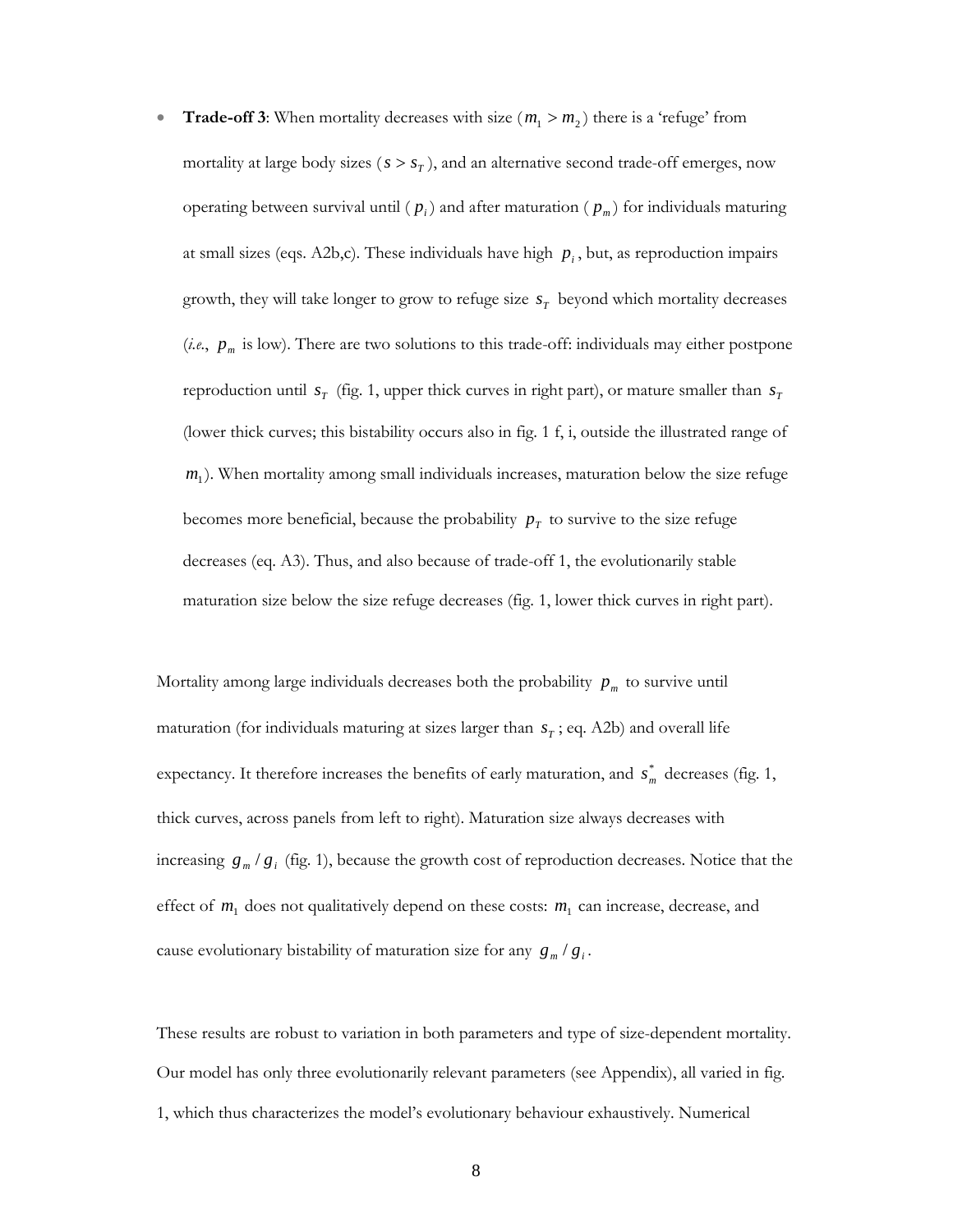**Trade-off 3**: When mortality decreases with size  $(m_1 > m_2)$  there is a 'refuge' from mortality at large body sizes ( $s > s<sub>T</sub>$ ), and an alternative second trade-off emerges, now operating between survival until  $(p_i)$  and after maturation  $(p_m)$  for individuals maturing at small sizes (eqs. A2b,c). These individuals have high  $p_i$ , but, as reproduction impairs growth, they will take longer to grow to refuge size  $s<sub>T</sub>$  beyond which mortality decreases (*i.e.*,  $p_m$  is low). There are two solutions to this trade-off: individuals may either postpone reproduction until  $s_T$  (fig. 1, upper thick curves in right part), or mature smaller than  $s_T$ (lower thick curves; this bistability occurs also in fig. 1 f, i, outside the illustrated range of  $m<sub>1</sub>$ ). When mortality among small individuals increases, maturation below the size refuge becomes more beneficial, because the probability  $p<sub>T</sub>$  to survive to the size refuge decreases (eq. A3). Thus, and also because of trade-off 1, the evolutionarily stable maturation size below the size refuge decreases (fig. 1, lower thick curves in right part).

Mortality among large individuals decreases both the probability  $p_m$  to survive until maturation (for individuals maturing at sizes larger than  $s<sub>T</sub>$ ; eq. A2b) and overall life expectancy. It therefore increases the benefits of early maturation, and  $s_m^*$  decreases (fig. 1, thick curves, across panels from left to right). Maturation size always decreases with increasing  $g_m/g_i$  (fig. 1), because the growth cost of reproduction decreases. Notice that the effect of  $m_1$  does not qualitatively depend on these costs:  $m_1$  can increase, decrease, and cause evolutionary bistability of maturation size for any  $g_m/g_i$ .

These results are robust to variation in both parameters and type of size-dependent mortality. Our model has only three evolutionarily relevant parameters (see Appendix), all varied in fig. 1, which thus characterizes the model's evolutionary behaviour exhaustively. Numerical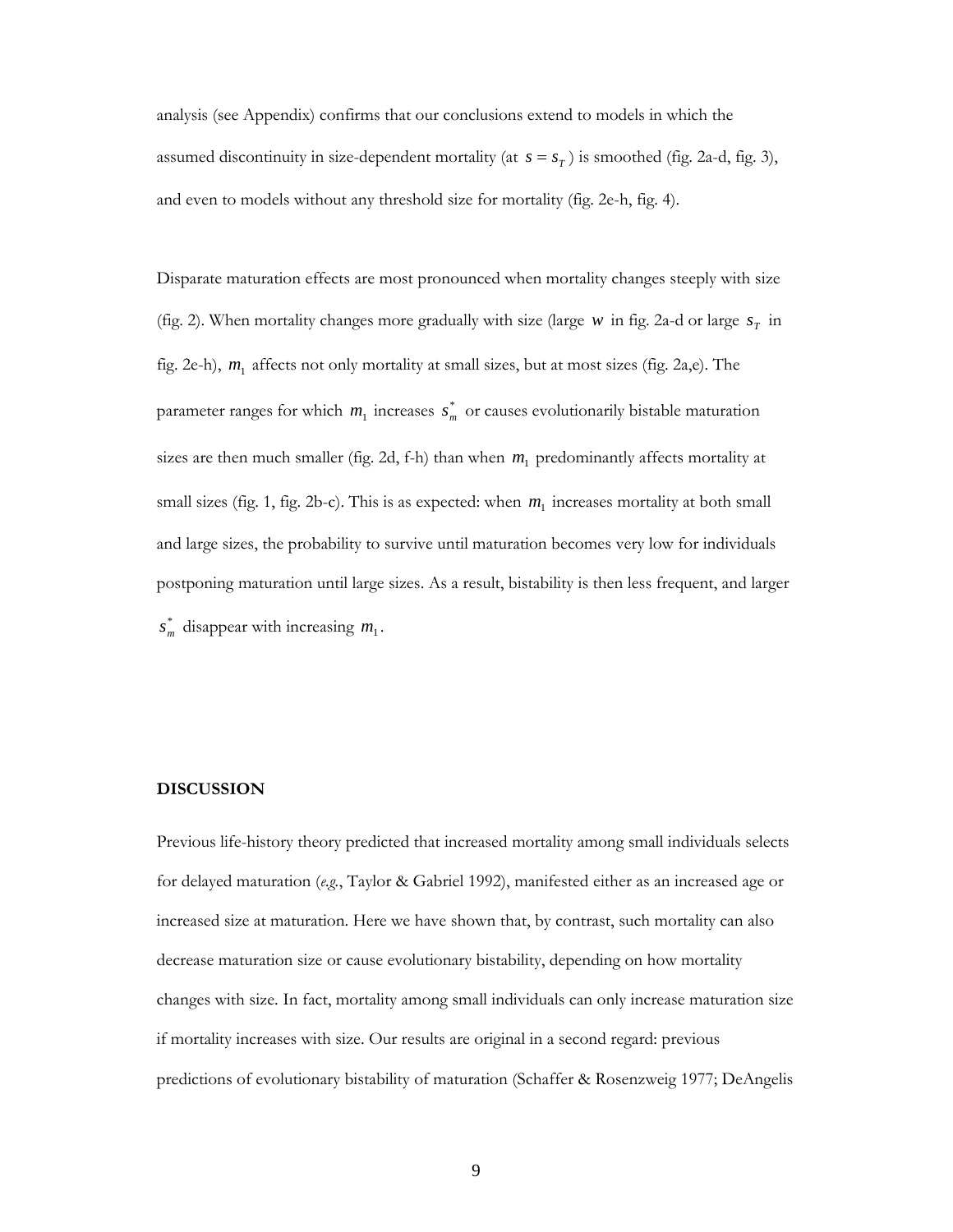analysis (see Appendix) confirms that our conclusions extend to models in which the assumed discontinuity in size-dependent mortality (at  $s = s<sub>T</sub>$ ) is smoothed (fig. 2a-d, fig. 3), and even to models without any threshold size for mortality (fig. 2e-h, fig. 4).

Disparate maturation effects are most pronounced when mortality changes steeply with size (fig. 2). When mortality changes more gradually with size (large  $w$  in fig. 2a-d or large  $s<sub>T</sub>$  in fig. 2e-h), *m*1 affects not only mortality at small sizes, but at most sizes (fig. 2a,e). The parameter ranges for which  $m_1$  increases  $s_m^*$  or causes evolutionarily bistable maturation sizes are then much smaller (fig. 2d, f-h) than when  $m<sub>1</sub>$  predominantly affects mortality at small sizes (fig. 1, fig. 2b-c). This is as expected: when  $m_1$  increases mortality at both small and large sizes, the probability to survive until maturation becomes very low for individuals postponing maturation until large sizes. As a result, bistability is then less frequent, and larger  $s_m^*$  disappear with increasing  $m_1$ .

### **DISCUSSION**

Previous life-history theory predicted that increased mortality among small individuals selects for delayed maturation (*e.g.*, Taylor & Gabriel 1992), manifested either as an increased age or increased size at maturation. Here we have shown that, by contrast, such mortality can also decrease maturation size or cause evolutionary bistability, depending on how mortality changes with size. In fact, mortality among small individuals can only increase maturation size if mortality increases with size. Our results are original in a second regard: previous predictions of evolutionary bistability of maturation (Schaffer & Rosenzweig 1977; DeAngelis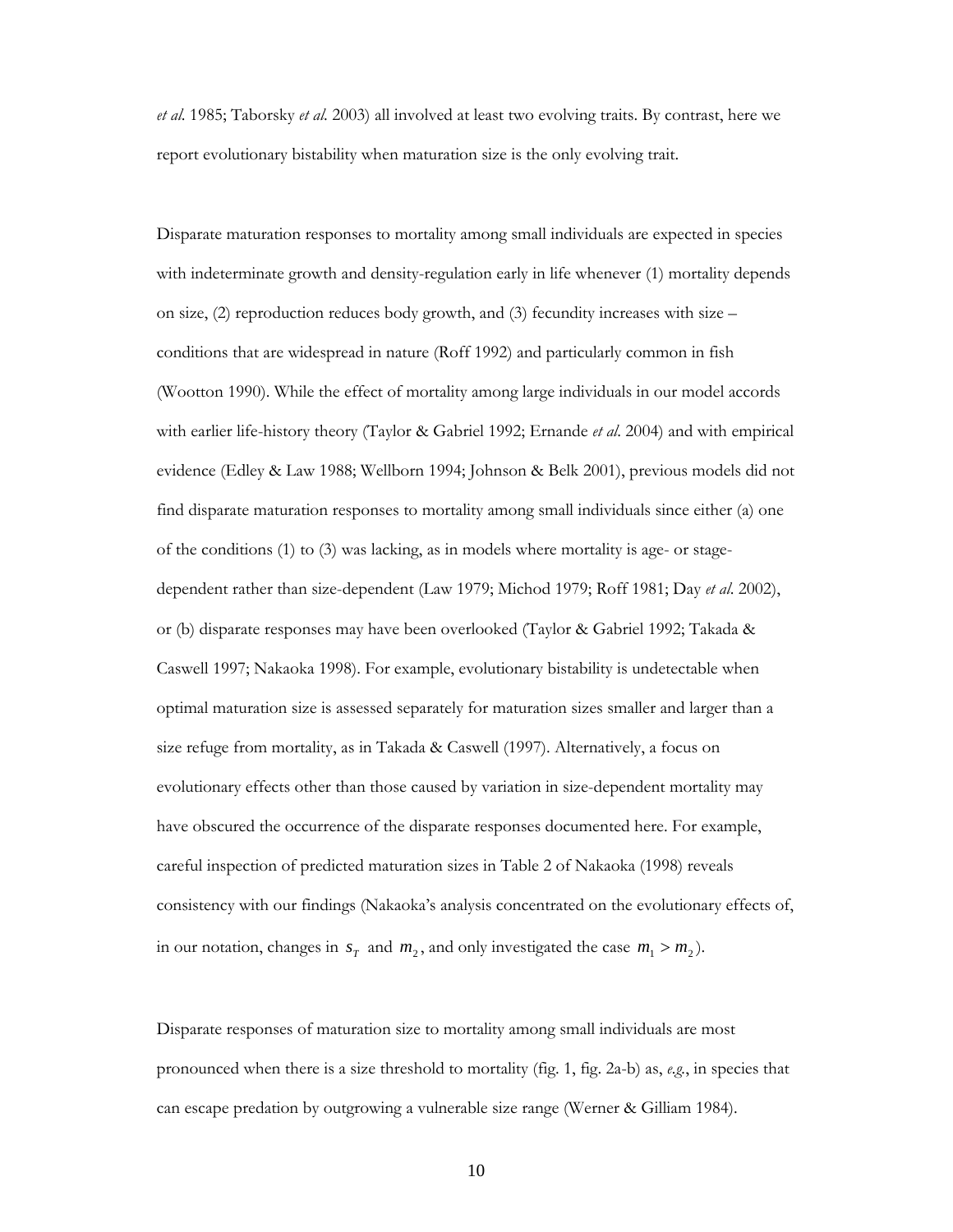*et al*. 1985; Taborsky *et al*. 2003) all involved at least two evolving traits. By contrast, here we report evolutionary bistability when maturation size is the only evolving trait.

Disparate maturation responses to mortality among small individuals are expected in species with indeterminate growth and density-regulation early in life whenever (1) mortality depends on size, (2) reproduction reduces body growth, and (3) fecundity increases with size – conditions that are widespread in nature (Roff 1992) and particularly common in fish (Wootton 1990). While the effect of mortality among large individuals in our model accords with earlier life-history theory (Taylor & Gabriel 1992; Ernande *et al*. 2004) and with empirical evidence (Edley & Law 1988; Wellborn 1994; Johnson & Belk 2001), previous models did not find disparate maturation responses to mortality among small individuals since either (a) one of the conditions (1) to (3) was lacking, as in models where mortality is age- or stagedependent rather than size-dependent (Law 1979; Michod 1979; Roff 1981; Day *et al*. 2002), or (b) disparate responses may have been overlooked (Taylor & Gabriel 1992; Takada & Caswell 1997; Nakaoka 1998). For example, evolutionary bistability is undetectable when optimal maturation size is assessed separately for maturation sizes smaller and larger than a size refuge from mortality, as in Takada & Caswell (1997). Alternatively, a focus on evolutionary effects other than those caused by variation in size-dependent mortality may have obscured the occurrence of the disparate responses documented here. For example, careful inspection of predicted maturation sizes in Table 2 of Nakaoka (1998) reveals consistency with our findings (Nakaoka's analysis concentrated on the evolutionary effects of, in our notation, changes in  $s<sub>T</sub>$  and  $m<sub>2</sub>$ , and only investigated the case  $m<sub>1</sub> > m<sub>2</sub>$ ).

Disparate responses of maturation size to mortality among small individuals are most pronounced when there is a size threshold to mortality (fig. 1, fig. 2a-b) as, *e.g.*, in species that can escape predation by outgrowing a vulnerable size range (Werner & Gilliam 1984).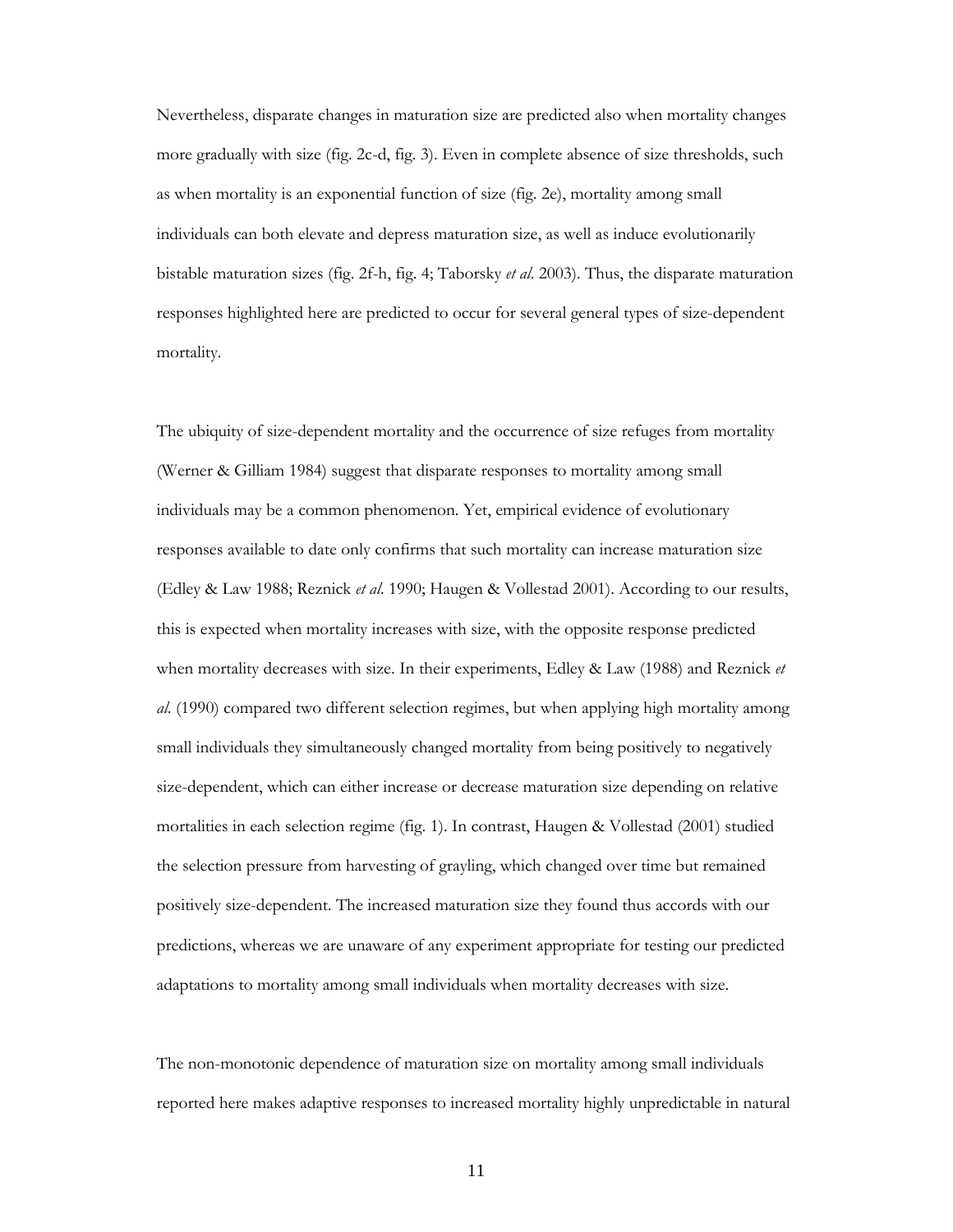Nevertheless, disparate changes in maturation size are predicted also when mortality changes more gradually with size (fig. 2c-d, fig. 3). Even in complete absence of size thresholds, such as when mortality is an exponential function of size (fig. 2e), mortality among small individuals can both elevate and depress maturation size, as well as induce evolutionarily bistable maturation sizes (fig. 2f-h, fig. 4; Taborsky *et al*. 2003). Thus, the disparate maturation responses highlighted here are predicted to occur for several general types of size-dependent mortality.

The ubiquity of size-dependent mortality and the occurrence of size refuges from mortality (Werner & Gilliam 1984) suggest that disparate responses to mortality among small individuals may be a common phenomenon. Yet, empirical evidence of evolutionary responses available to date only confirms that such mortality can increase maturation size (Edley & Law 1988; Reznick *et al*. 1990; Haugen & Vollestad 2001). According to our results, this is expected when mortality increases with size, with the opposite response predicted when mortality decreases with size. In their experiments, Edley & Law (1988) and Reznick *et al*. (1990) compared two different selection regimes, but when applying high mortality among small individuals they simultaneously changed mortality from being positively to negatively size-dependent, which can either increase or decrease maturation size depending on relative mortalities in each selection regime (fig. 1). In contrast, Haugen & Vollestad (2001) studied the selection pressure from harvesting of grayling, which changed over time but remained positively size-dependent. The increased maturation size they found thus accords with our predictions, whereas we are unaware of any experiment appropriate for testing our predicted adaptations to mortality among small individuals when mortality decreases with size.

The non-monotonic dependence of maturation size on mortality among small individuals reported here makes adaptive responses to increased mortality highly unpredictable in natural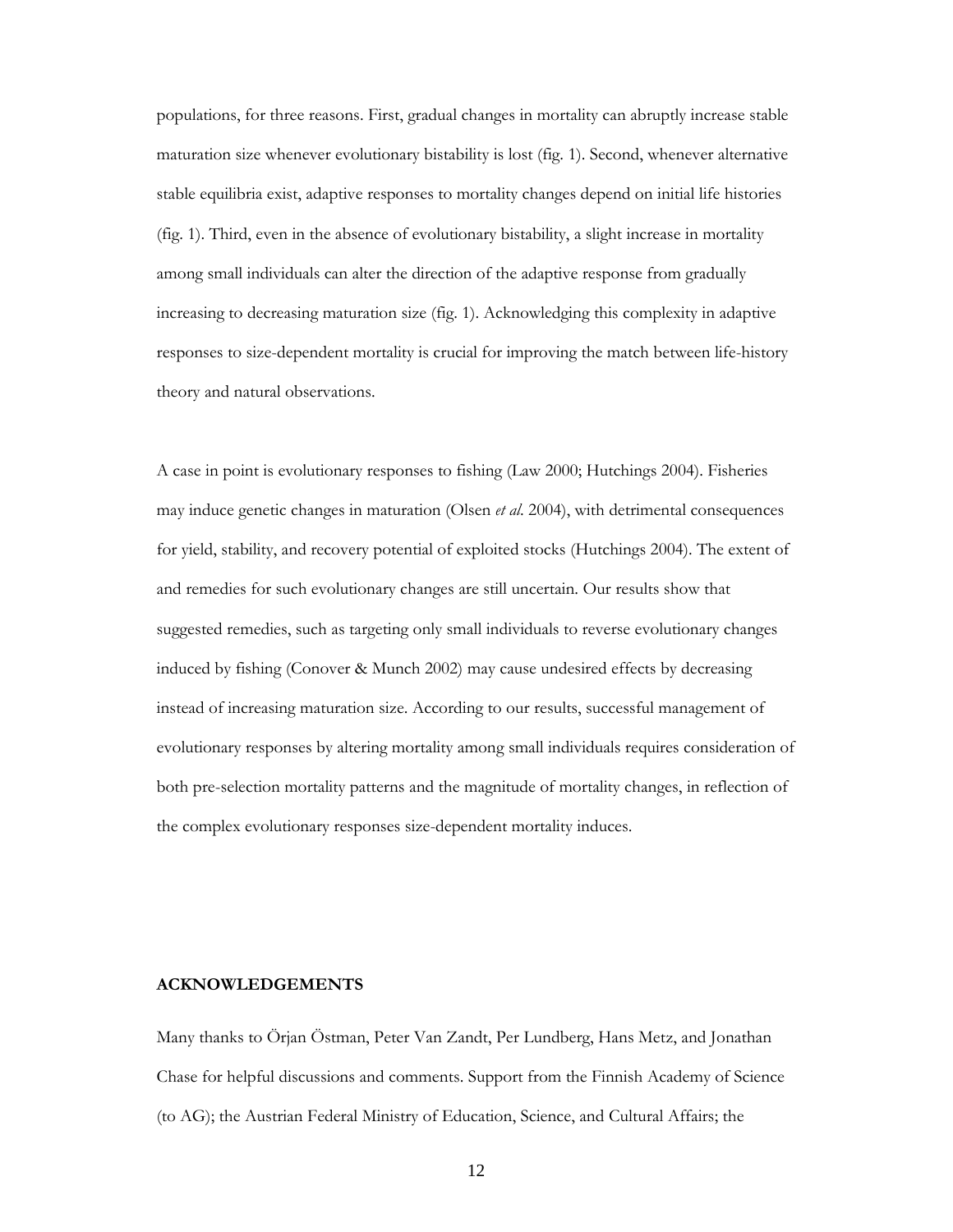populations, for three reasons. First, gradual changes in mortality can abruptly increase stable maturation size whenever evolutionary bistability is lost (fig. 1). Second, whenever alternative stable equilibria exist, adaptive responses to mortality changes depend on initial life histories (fig. 1). Third, even in the absence of evolutionary bistability, a slight increase in mortality among small individuals can alter the direction of the adaptive response from gradually increasing to decreasing maturation size (fig. 1). Acknowledging this complexity in adaptive responses to size-dependent mortality is crucial for improving the match between life-history theory and natural observations.

A case in point is evolutionary responses to fishing (Law 2000; Hutchings 2004). Fisheries may induce genetic changes in maturation (Olsen *et al*. 2004), with detrimental consequences for yield, stability, and recovery potential of exploited stocks (Hutchings 2004). The extent of and remedies for such evolutionary changes are still uncertain. Our results show that suggested remedies, such as targeting only small individuals to reverse evolutionary changes induced by fishing (Conover & Munch 2002) may cause undesired effects by decreasing instead of increasing maturation size. According to our results, successful management of evolutionary responses by altering mortality among small individuals requires consideration of both pre-selection mortality patterns and the magnitude of mortality changes, in reflection of the complex evolutionary responses size-dependent mortality induces.

### **ACKNOWLEDGEMENTS**

Many thanks to Örjan Östman, Peter Van Zandt, Per Lundberg, Hans Metz, and Jonathan Chase for helpful discussions and comments. Support from the Finnish Academy of Science (to AG); the Austrian Federal Ministry of Education, Science, and Cultural Affairs; the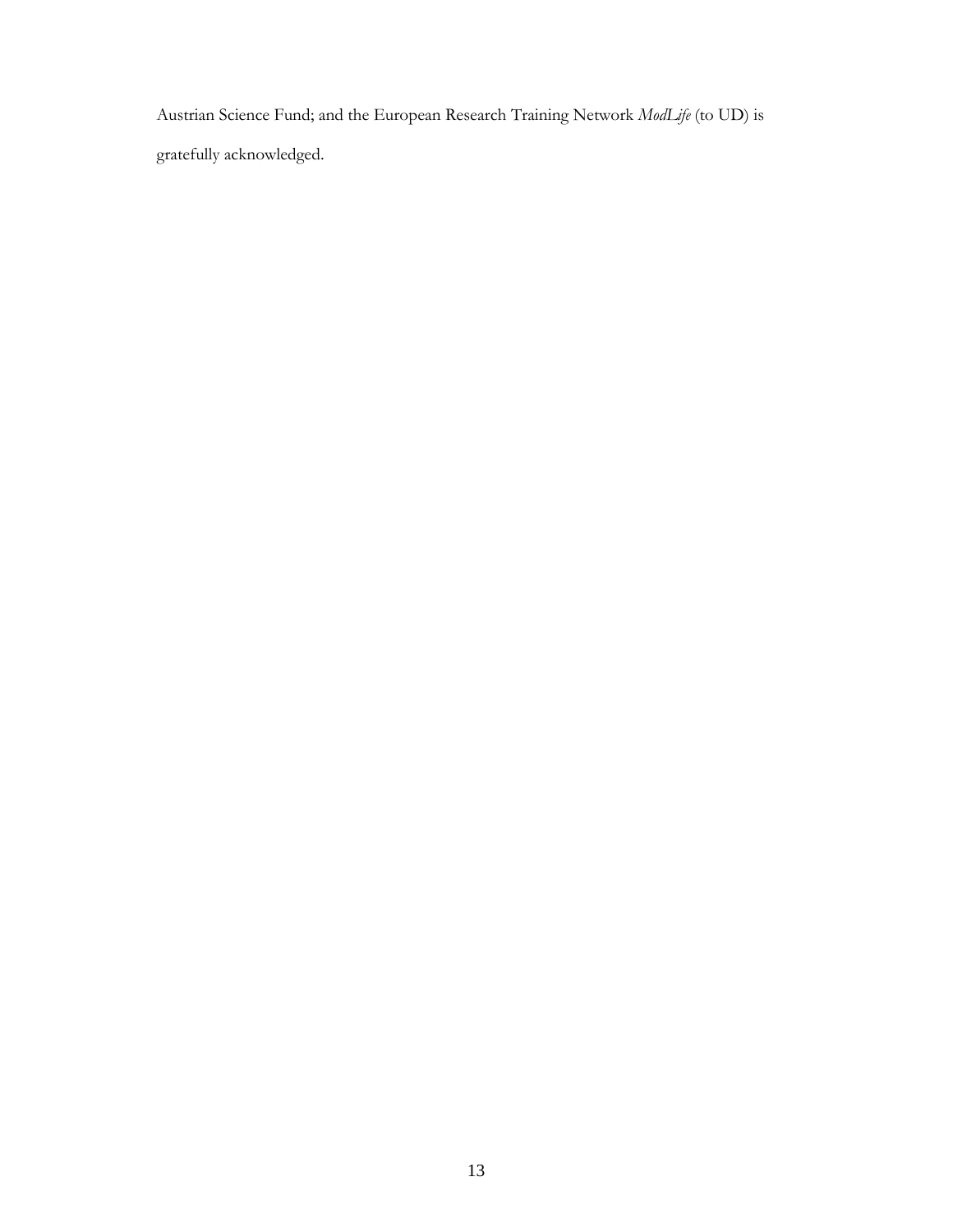Austrian Science Fund; and the European Research Training Network *ModLife* (to UD) is gratefully acknowledged.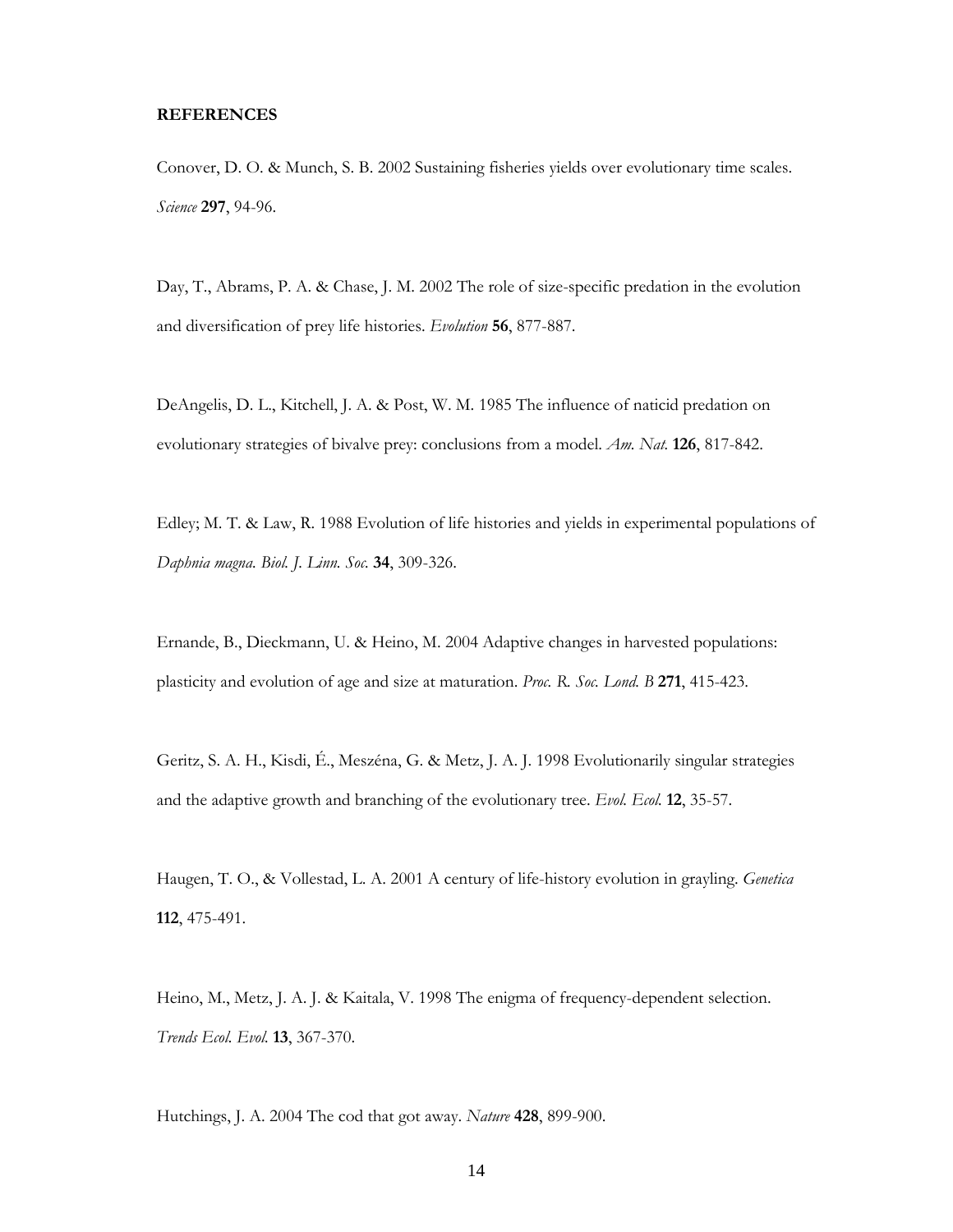#### **REFERENCES**

Conover, D. O. & Munch, S. B. 2002 Sustaining fisheries yields over evolutionary time scales. *Science* **297**, 94-96.

Day, T., Abrams, P. A. & Chase, J. M. 2002 The role of size-specific predation in the evolution and diversification of prey life histories. *Evolution* **56**, 877-887.

DeAngelis, D. L., Kitchell, J. A. & Post, W. M. 1985 The influence of naticid predation on evolutionary strategies of bivalve prey: conclusions from a model. *Am. Nat.* **126**, 817-842.

Edley; M. T. & Law, R. 1988 Evolution of life histories and yields in experimental populations of *Daphnia magna. Biol. J. Linn. Soc.* **34**, 309-326.

Ernande, B., Dieckmann, U. & Heino, M. 2004 Adaptive changes in harvested populations: plasticity and evolution of age and size at maturation. *Proc. R. Soc. Lond. B* **271**, 415-423.

Geritz, S. A. H., Kisdi, É., Meszéna, G. & Metz, J. A. J. 1998 Evolutionarily singular strategies and the adaptive growth and branching of the evolutionary tree. *Evol. Ecol.* **12**, 35-57.

Haugen, T. O., & Vollestad, L. A. 2001 A century of life-history evolution in grayling. *Genetica* **112**, 475-491.

Heino, M., Metz, J. A. J. & Kaitala, V. 1998 The enigma of frequency-dependent selection. *Trends Ecol. Evol.* **13**, 367-370.

Hutchings, J. A. 2004 The cod that got away. *Nature* **428**, 899-900.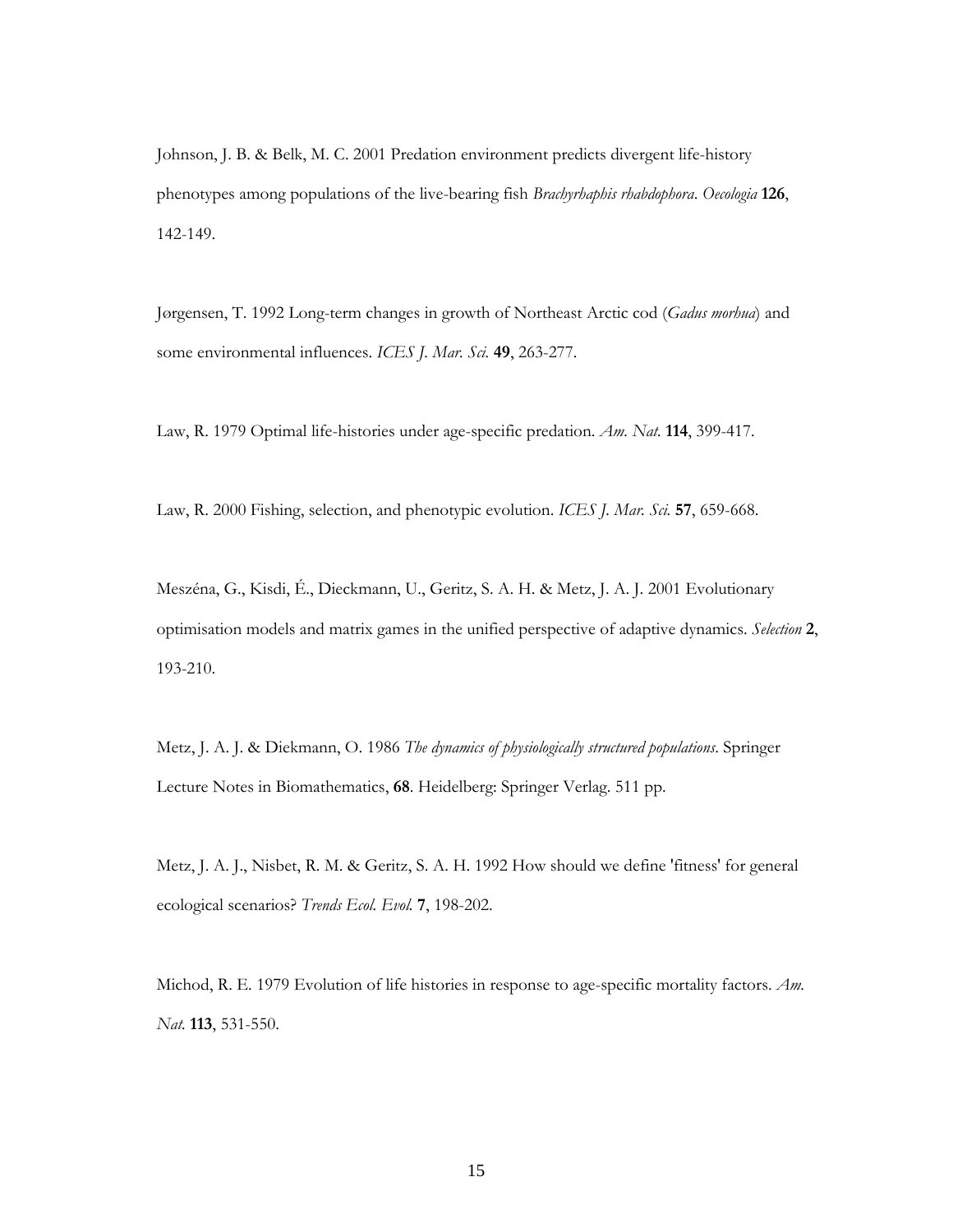Johnson, J. B. & Belk, M. C. 2001 Predation environment predicts divergent life-history phenotypes among populations of the live-bearing fish *Brachyrhaphis rhabdophora*. *Oecologia* **126**, 142-149.

Jørgensen, T. 1992 Long-term changes in growth of Northeast Arctic cod (*Gadus morhua*) and some environmental influences. *ICES J. Mar. Sci.* **49**, 263-277.

Law, R. 1979 Optimal life-histories under age-specific predation. *Am. Nat.* **114**, 399-417.

Law, R. 2000 Fishing, selection, and phenotypic evolution. *ICES J. Mar. Sci.* **57**, 659-668.

Meszéna, G., Kisdi, É., Dieckmann, U., Geritz, S. A. H. & Metz, J. A. J. 2001 Evolutionary optimisation models and matrix games in the unified perspective of adaptive dynamics. *Selection* **2**, 193-210.

Metz, J. A. J. & Diekmann, O. 1986 *The dynamics of physiologically structured populations*. Springer Lecture Notes in Biomathematics, **68**. Heidelberg: Springer Verlag. 511 pp.

Metz, J. A. J., Nisbet, R. M. & Geritz, S. A. H. 1992 How should we define 'fitness' for general ecological scenarios? *Trends Ecol. Evol.* **7**, 198-202.

Michod, R. E. 1979 Evolution of life histories in response to age-specific mortality factors. *Am. Nat.* **113**, 531-550.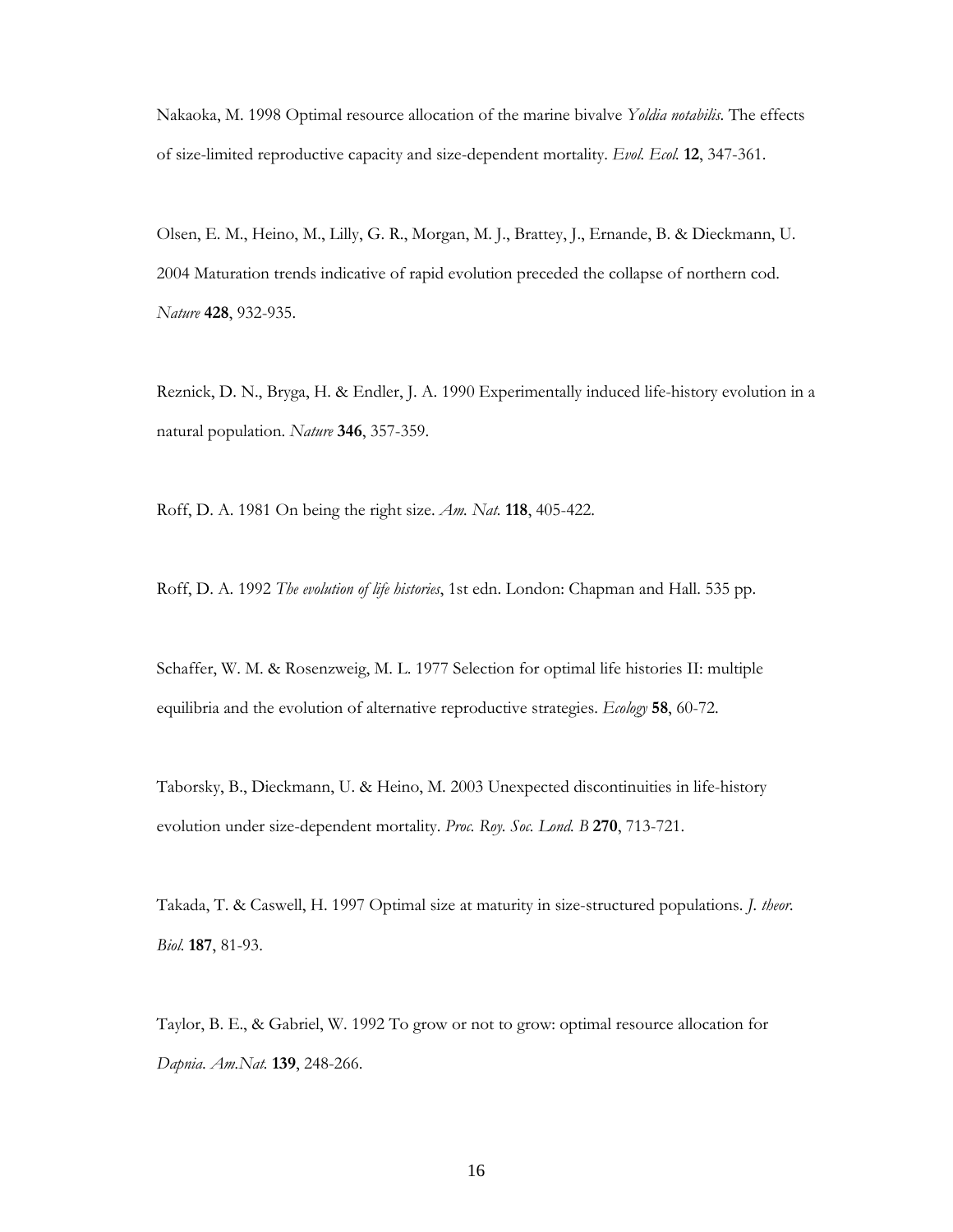Nakaoka, M. 1998 Optimal resource allocation of the marine bivalve *Yoldia notabilis*. The effects of size-limited reproductive capacity and size-dependent mortality. *Evol. Ecol.* **12**, 347-361.

Olsen, E. M., Heino, M., Lilly, G. R., Morgan, M. J., Brattey, J., Ernande, B. & Dieckmann, U. 2004 Maturation trends indicative of rapid evolution preceded the collapse of northern cod. *Nature* **428**, 932-935.

Reznick, D. N., Bryga, H. & Endler, J. A. 1990 Experimentally induced life-history evolution in a natural population. *Nature* **346**, 357-359.

Roff, D. A. 1981 On being the right size. *Am. Nat.* **118**, 405-422.

Roff, D. A. 1992 *The evolution of life histories*, 1st edn. London: Chapman and Hall. 535 pp.

Schaffer, W. M. & Rosenzweig, M. L. 1977 Selection for optimal life histories II: multiple equilibria and the evolution of alternative reproductive strategies. *Ecology* **58**, 60-72.

Taborsky, B., Dieckmann, U. & Heino, M. 2003 Unexpected discontinuities in life-history evolution under size-dependent mortality. *Proc. Roy. Soc. Lond. B* **270**, 713-721.

Takada, T. & Caswell, H. 1997 Optimal size at maturity in size-structured populations. *J. theor. Biol.* **187**, 81-93.

Taylor, B. E., & Gabriel, W. 1992 To grow or not to grow: optimal resource allocation for *Dapnia*. *Am.Nat.* **139**, 248-266.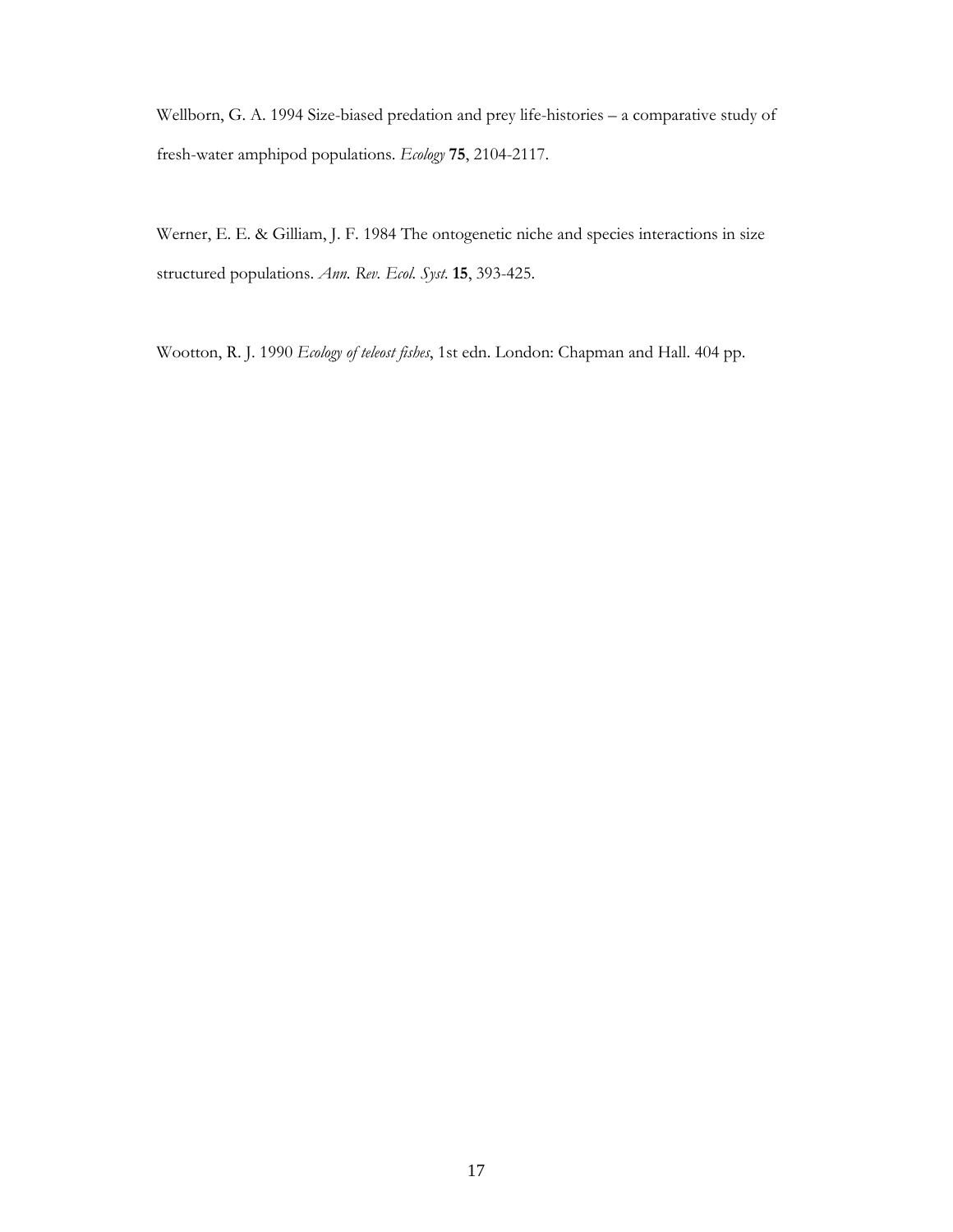Wellborn, G. A. 1994 Size-biased predation and prey life-histories – a comparative study of fresh-water amphipod populations. *Ecology* **75**, 2104-2117.

Werner, E. E. & Gilliam, J. F. 1984 The ontogenetic niche and species interactions in size structured populations. *Ann. Rev. Ecol. Syst.* **15**, 393-425.

Wootton, R. J. 1990 *Ecology of teleost fishes*, 1st edn. London: Chapman and Hall. 404 pp.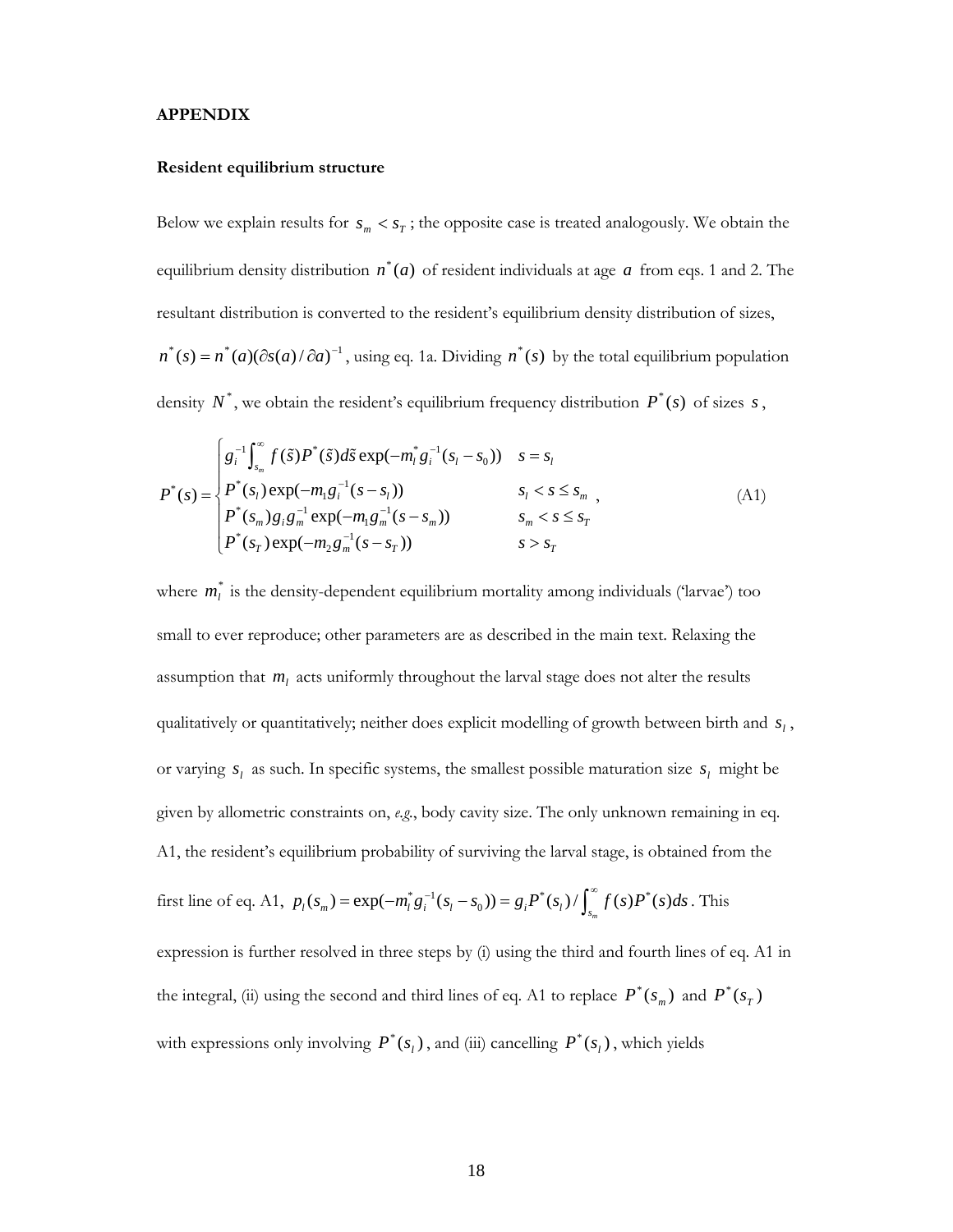#### **APPENDIX**

#### **Resident equilibrium structure**

Below we explain results for  $s_m < s_T$ ; the opposite case is treated analogously. We obtain the equilibrium density distribution  $n^*(a)$  of resident individuals at age a from eqs. 1 and 2. The resultant distribution is converted to the resident's equilibrium density distribution of sizes,  $n^*(s) = n^*(a)(\partial s(a)/\partial a)^{-1}$ , using eq. 1a. Dividing  $n^*(s)$  by the total equilibrium population density  $N^*$ , we obtain the resident's equilibrium frequency distribution  $P^*(s)$  of sizes  $s$ ,

$$
P^*(s) = \begin{cases} g_i^{-1} \int_{s_m}^{\infty} f(\tilde{s}) P^*(\tilde{s}) d\tilde{s} \exp(-m_l^* g_i^{-1}(s_l - s_0)) & s = s_l \\ P^*(s_l) \exp(-m_l g_i^{-1}(s - s_l)) & s_l < s \le s_m \\ P^*(s_m) g_i g_m^{-1} \exp(-m_l g_m^{-1}(s - s_m)) & s_m < s \le s_r \\ P^*(s_r) \exp(-m_2 g_m^{-1}(s - s_r)) & s > s_r \end{cases}
$$
(A1)

where  $m_l^*$  is the density-dependent equilibrium mortality among individuals ('larvae') too small to ever reproduce; other parameters are as described in the main text. Relaxing the assumption that *ml* acts uniformly throughout the larval stage does not alter the results qualitatively or quantitatively; neither does explicit modelling of growth between birth and  $s_l$ , or varying  $s_i$  as such. In specific systems, the smallest possible maturation size  $s_i$  might be given by allometric constraints on, *e.g.*, body cavity size. The only unknown remaining in eq. A1, the resident's equilibrium probability of surviving the larval stage, is obtained from the first line of eq. A1,  $p_l(s_m) = \exp(-m_l^* g_i^{-1}(s_l - s_0)) = g_i P^*(s_l) / \int_{s_m}^{\infty} f(s) P^*(s) ds$ . This expression is further resolved in three steps by (i) using the third and fourth lines of eq. A1 in the integral, (ii) using the second and third lines of eq. A1 to replace  $P^*(s_m)$  and  $P^*(s_T)$ 

with expressions only involving  $P^*(s_i)$ , and (iii) cancelling  $P^*(s_i)$ , which yields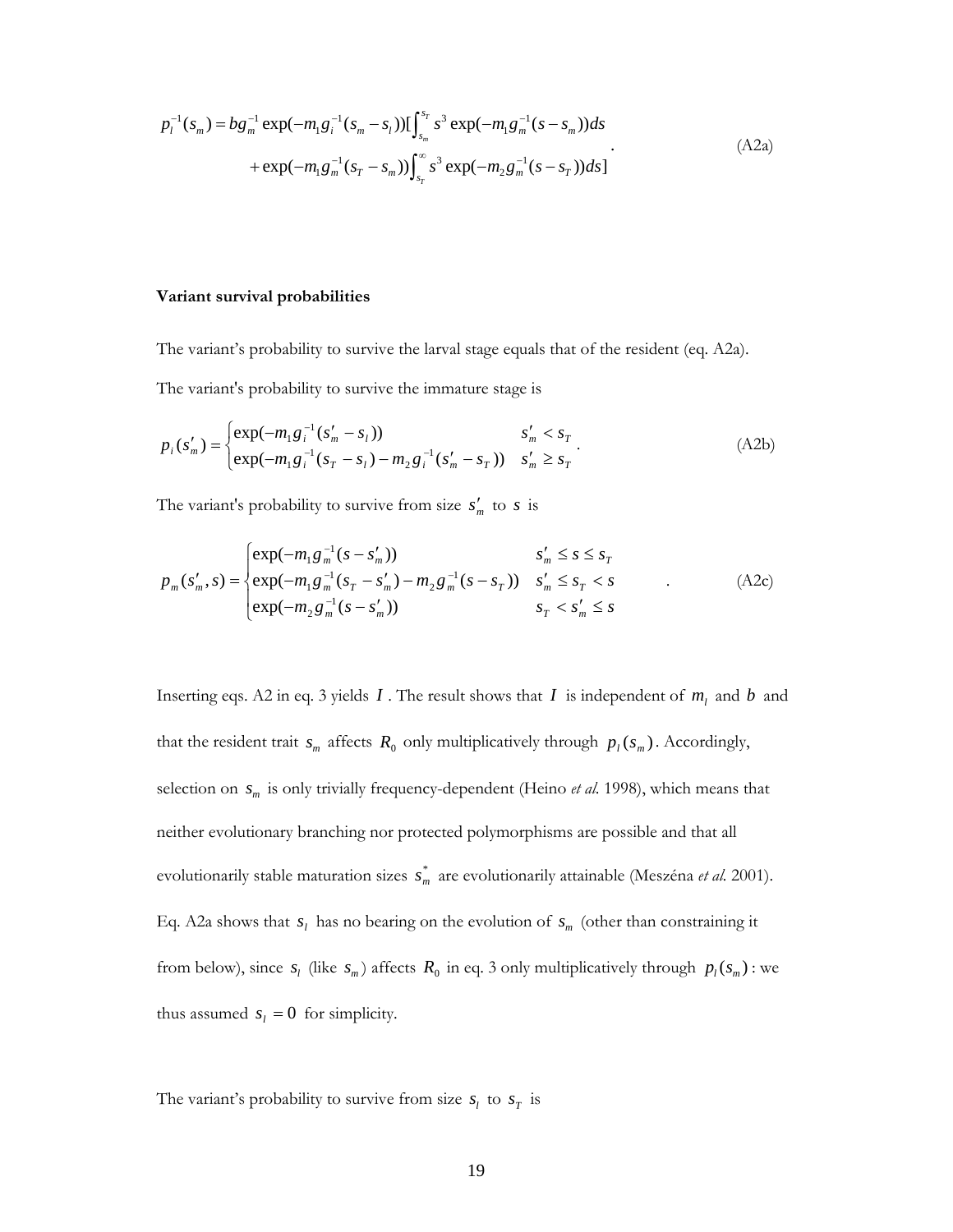$$
p_l^{-1}(s_m) = bg_m^{-1} \exp(-m_1 g_i^{-1}(s_m - s_l)) [\int_{s_m}^{s_r} s^3 \exp(-m_1 g_m^{-1}(s - s_m)) ds + \exp(-m_1 g_m^{-1}(s_r - s_m)) [\int_{s_r}^{\infty} s^3 \exp(-m_2 g_m^{-1}(s - s_r)) ds]
$$
(A2a)

#### **Variant survival probabilities**

The variant's probability to survive the larval stage equals that of the resident (eq. A2a).

The variant's probability to survive the immature stage is

$$
p_i(s'_m) = \begin{cases} \exp(-m_1 g_i^{-1}(s'_m - s_i)) & s'_m < s_T \\ \exp(-m_1 g_i^{-1}(s_T - s_i) - m_2 g_i^{-1}(s'_m - s_T)) & s'_m \ge s_T \end{cases}
$$
(A2b)

The variant's probability to survive from size  $s'_m$  to  $s$  is

$$
p_m(s'_m, s) = \begin{cases} exp(-m_1 g_m^{-1} (s - s'_m)) & s'_m \le s \le s_T \\ exp(-m_1 g_m^{-1} (s_T - s'_m) - m_2 g_m^{-1} (s - s_T)) & s'_m \le s_T < s \\ exp(-m_2 g_m^{-1} (s - s'_m)) & s_T < s'_m \le s \end{cases}
$$
 (A2c)

Inserting eqs. A2 in eq. 3 yields  $I$ . The result shows that  $I$  is independent of  $m_l$  and  $b$  and that the resident trait  $s_m$  affects  $R_0$  only multiplicatively through  $p_l(s_m)$ . Accordingly, selection on  $s_m$  is only trivially frequency-dependent (Heino *et al.* 1998), which means that neither evolutionary branching nor protected polymorphisms are possible and that all evolutionarily stable maturation sizes  $s_m^*$  are evolutionarily attainable (Meszéna *et al.* 2001). Eq. A2a shows that  $s_l$  has no bearing on the evolution of  $s_m$  (other than constraining it from below), since  $s_l$  (like  $s_m$ ) affects  $R_0$  in eq. 3 only multiplicatively through  $p_l(s_m)$ : we thus assumed  $s_l = 0$  for simplicity.

The variant's probability to survive from size  $s_l$  to  $s_T$  is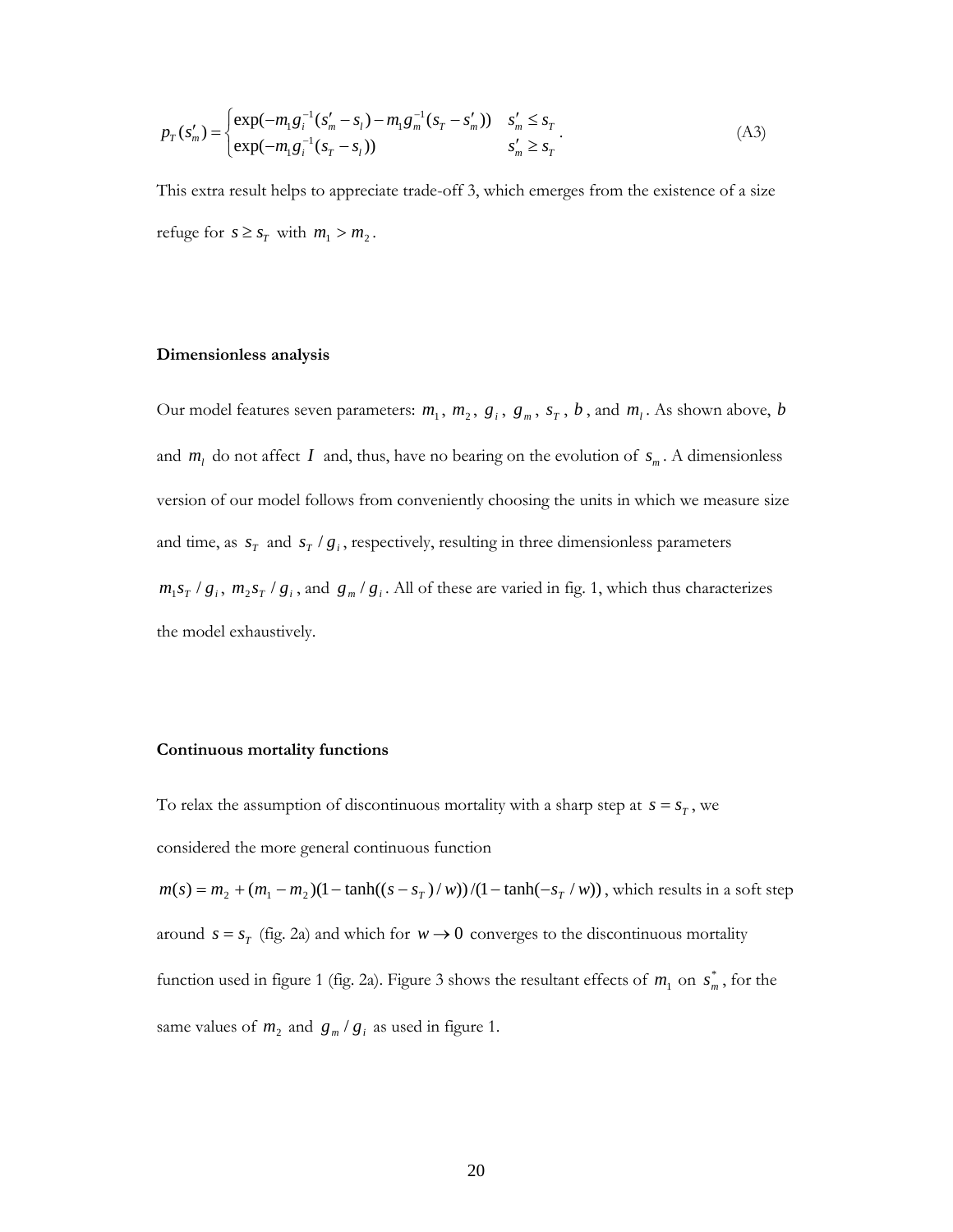$$
p_T(s'_m) = \begin{cases} \exp(-m_1 g_i^{-1} (s'_m - s_l) - m_1 g_m^{-1} (s_T - s'_m)) & s'_m \le s_T \\ \exp(-m_1 g_i^{-1} (s_T - s_l)) & s'_m \ge s_T \end{cases}
$$
(A3)

This extra result helps to appreciate trade-off 3, which emerges from the existence of a size refuge for  $s \geq s_T$  with  $m_1 > m_2$ .

#### **Dimensionless analysis**

Our model features seven parameters:  $m_1$ ,  $m_2$ ,  $g_i$ ,  $g_m$ ,  $s_T$ ,  $b$ , and  $m_i$ . As shown above,  $b$ and  $m_l$  do not affect *I* and, thus, have no bearing on the evolution of  $s_m$ . A dimensionless version of our model follows from conveniently choosing the units in which we measure size and time, as  $s_T$  and  $s_T / g_i$ , respectively, resulting in three dimensionless parameters  $m_1 s_T / g_i$ ,  $m_2 s_T / g_i$ , and  $g_m / g_i$ . All of these are varied in fig. 1, which thus characterizes the model exhaustively.

### **Continuous mortality functions**

To relax the assumption of discontinuous mortality with a sharp step at  $s = s_T$ , we considered the more general continuous function

 $m(s) = m_2 + (m_1 - m_2)(1 - \tanh((s - s_T) / w))/(1 - \tanh(-s_T / w))$ , which results in a soft step around  $s = s_T$  (fig. 2a) and which for  $w \rightarrow 0$  converges to the discontinuous mortality function used in figure 1 (fig. 2a). Figure 3 shows the resultant effects of  $m_1$  on  $s_m^*$ , for the same values of  $m_2$  and  $g_m/g_i$  as used in figure 1.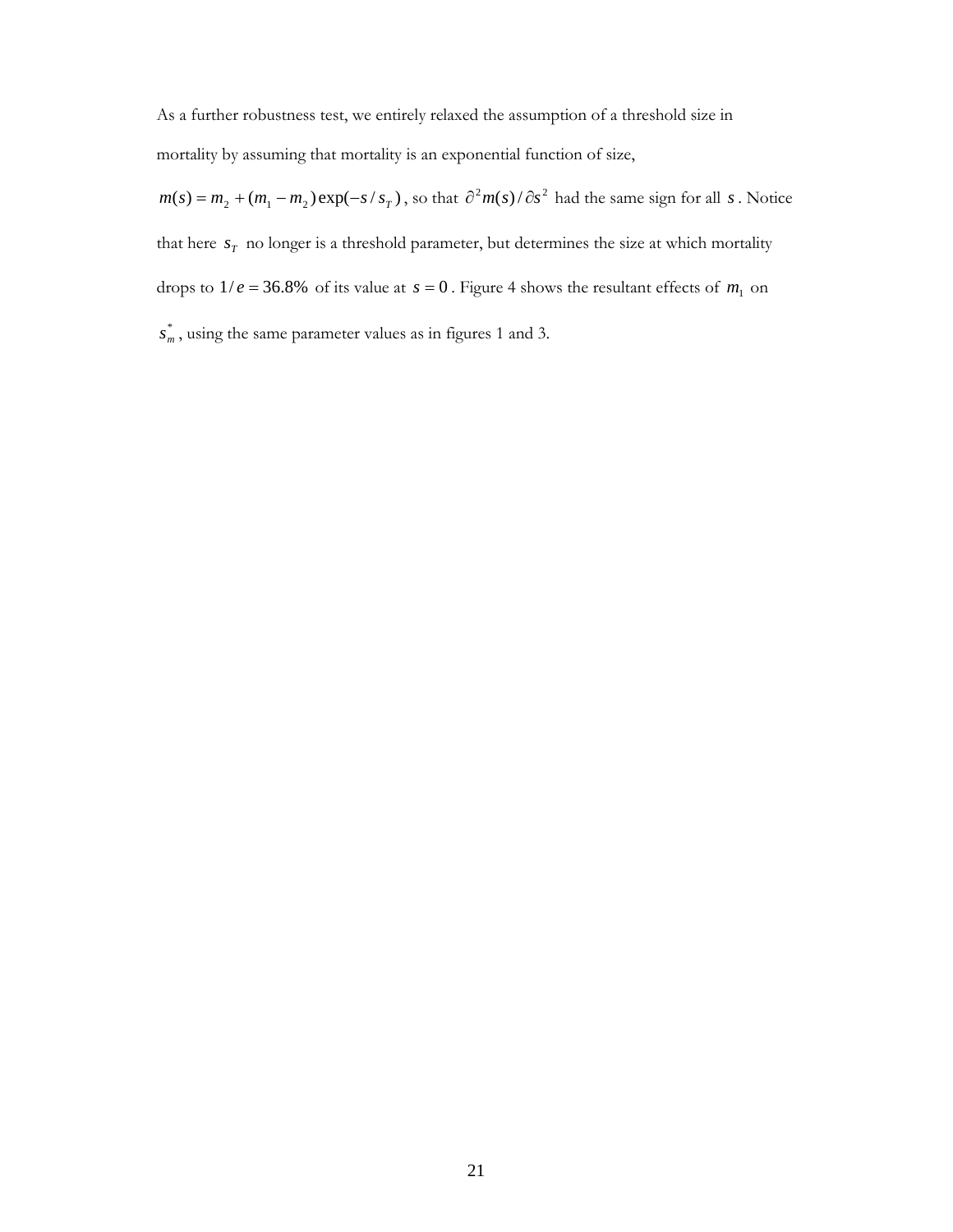As a further robustness test, we entirely relaxed the assumption of a threshold size in mortality by assuming that mortality is an exponential function of size,

 $m(s) = m_2 + (m_1 - m_2) \exp(-s / s_T)$ , so that  $\partial^2 m(s) / \partial s^2$  had the same sign for all *s*. Notice that here  $s_T$  no longer is a threshold parameter, but determines the size at which mortality drops to  $1/e = 36.8\%$  of its value at  $s = 0$ . Figure 4 shows the resultant effects of  $m_1$  on  $s_m^*$ , using the same parameter values as in figures 1 and 3.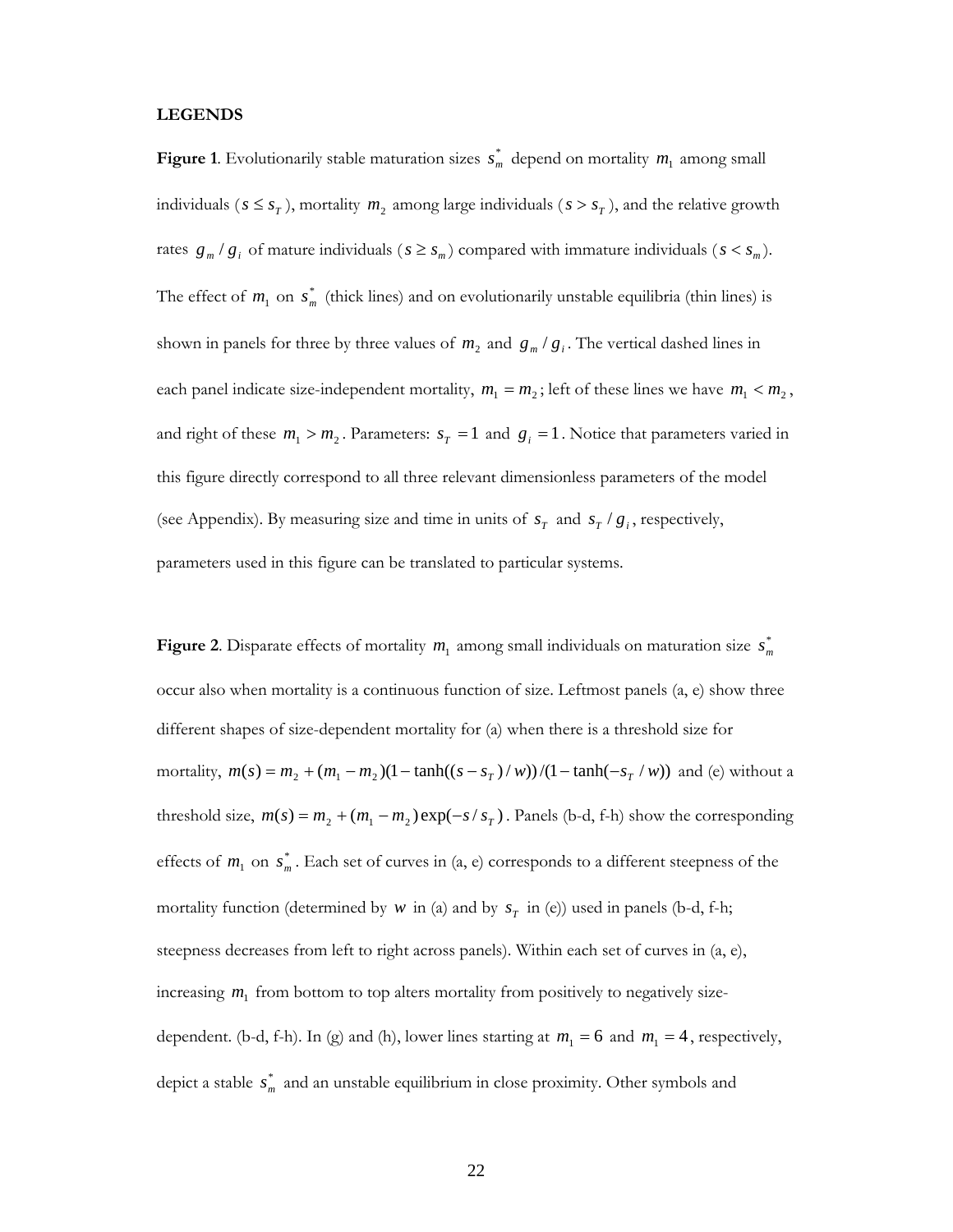#### **LEGENDS**

**Figure 1**. Evolutionarily stable maturation sizes  $s_m^*$  depend on mortality  $m_1$  among small individuals ( $s \leq s_T$ ), mortality  $m_2$  among large individuals ( $s > s_T$ ), and the relative growth rates  $g_m/g_i$  of mature individuals ( $s \geq s_m$ ) compared with immature individuals ( $s < s_m$ ). The effect of  $m_1$  on  $s_m^*$  (thick lines) and on evolutionarily unstable equilibria (thin lines) is shown in panels for three by three values of  $m_2$  and  $g_m/g_i$ . The vertical dashed lines in each panel indicate size-independent mortality,  $m_1 = m_2$ ; left of these lines we have  $m_1 < m_2$ , and right of these  $m_1 > m_2$ . Parameters:  $s_T = 1$  and  $g_i = 1$ . Notice that parameters varied in this figure directly correspond to all three relevant dimensionless parameters of the model (see Appendix). By measuring size and time in units of  $s_T$  and  $s_T / g_i$ , respectively, parameters used in this figure can be translated to particular systems.

**Figure 2**. Disparate effects of mortality  $m_1$  among small individuals on maturation size  $s_m^*$ occur also when mortality is a continuous function of size. Leftmost panels (a, e) show three different shapes of size-dependent mortality for (a) when there is a threshold size for mortality,  $m(s) = m_2 + (m_1 - m_2)(1 - \tanh((s - s_T)/w))/(1 - \tanh(-s_T/w))$  and (e) without a threshold size,  $m(s) = m_2 + (m_1 - m_2) \exp(-s / s_T)$ . Panels (b-d, f-h) show the corresponding effects of  $m_1$  on  $s_m^*$ . Each set of curves in (a, e) corresponds to a different steepness of the mortality function (determined by *w* in (a) and by  $s_T$  in (e)) used in panels (b-d, f-h; steepness decreases from left to right across panels). Within each set of curves in (a, e), increasing  $m_1$  from bottom to top alters mortality from positively to negatively sizedependent. (b-d, f-h). In (g) and (h), lower lines starting at  $m_1 = 6$  and  $m_1 = 4$ , respectively, depict a stable  $s_m^*$  and an unstable equilibrium in close proximity. Other symbols and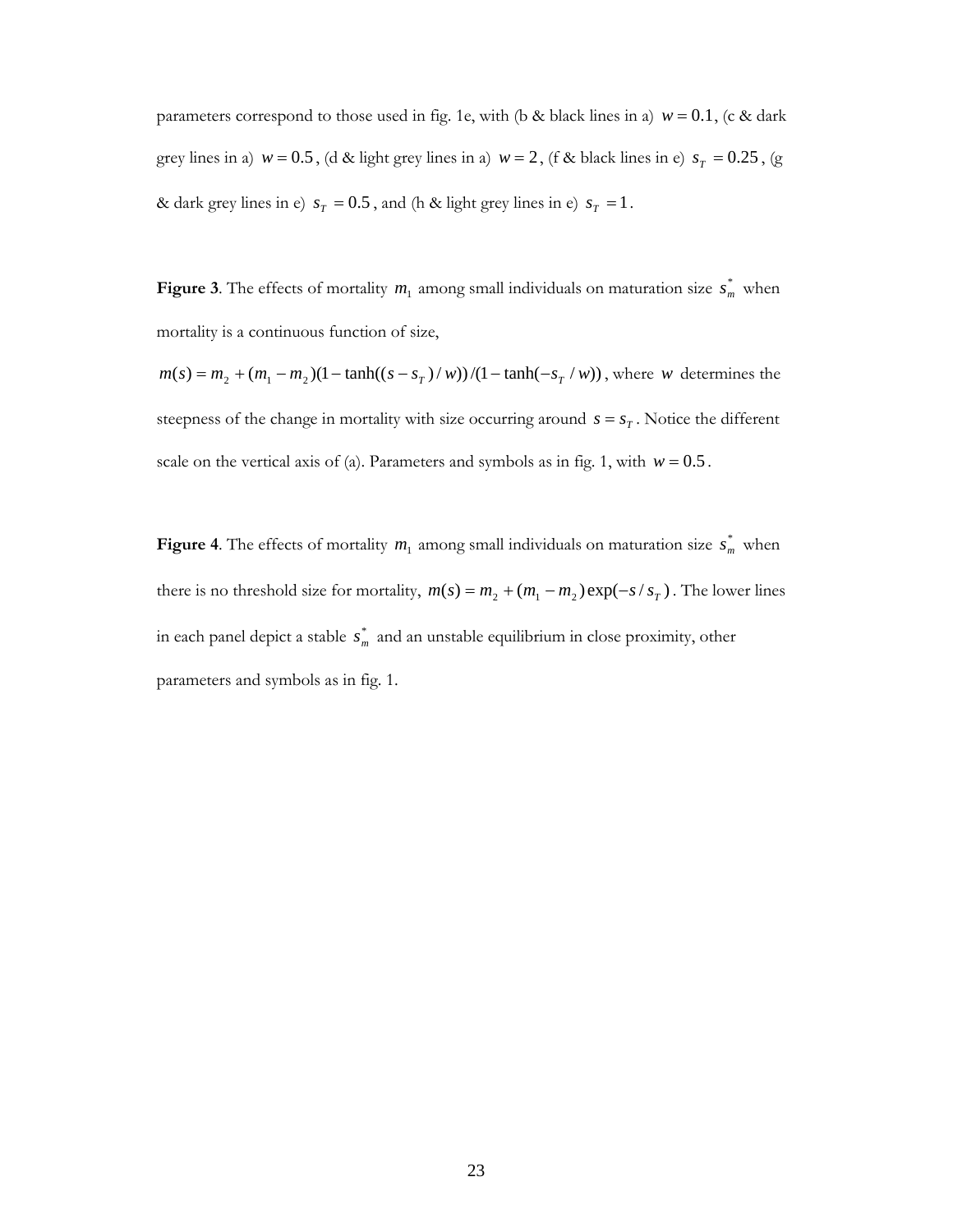parameters correspond to those used in fig. 1e, with (b & black lines in a)  $w = 0.1$ , (c & dark grey lines in a)  $w = 0.5$ , (d & light grey lines in a)  $w = 2$ , (f & black lines in e)  $s_T = 0.25$ , (g & dark grey lines in e)  $s_T = 0.5$ , and (h & light grey lines in e)  $s_T = 1$ .

**Figure 3**. The effects of mortality  $m_1$  among small individuals on maturation size  $s_m^*$  when mortality is a continuous function of size,

 $m(s) = m_2 + (m_1 - m_2)(1 - \tanh((s - s_T) / w))/(1 - \tanh(-s_T / w))$ , where *w* determines the steepness of the change in mortality with size occurring around  $s = s_T$ . Notice the different scale on the vertical axis of (a). Parameters and symbols as in fig. 1, with  $w = 0.5$ .

**Figure 4**. The effects of mortality  $m_1$  among small individuals on maturation size  $s_m^*$  when there is no threshold size for mortality,  $m(s) = m_2 + (m_1 - m_2) \exp(-s / s_T)$ . The lower lines in each panel depict a stable  $s_m^*$  and an unstable equilibrium in close proximity, other parameters and symbols as in fig. 1.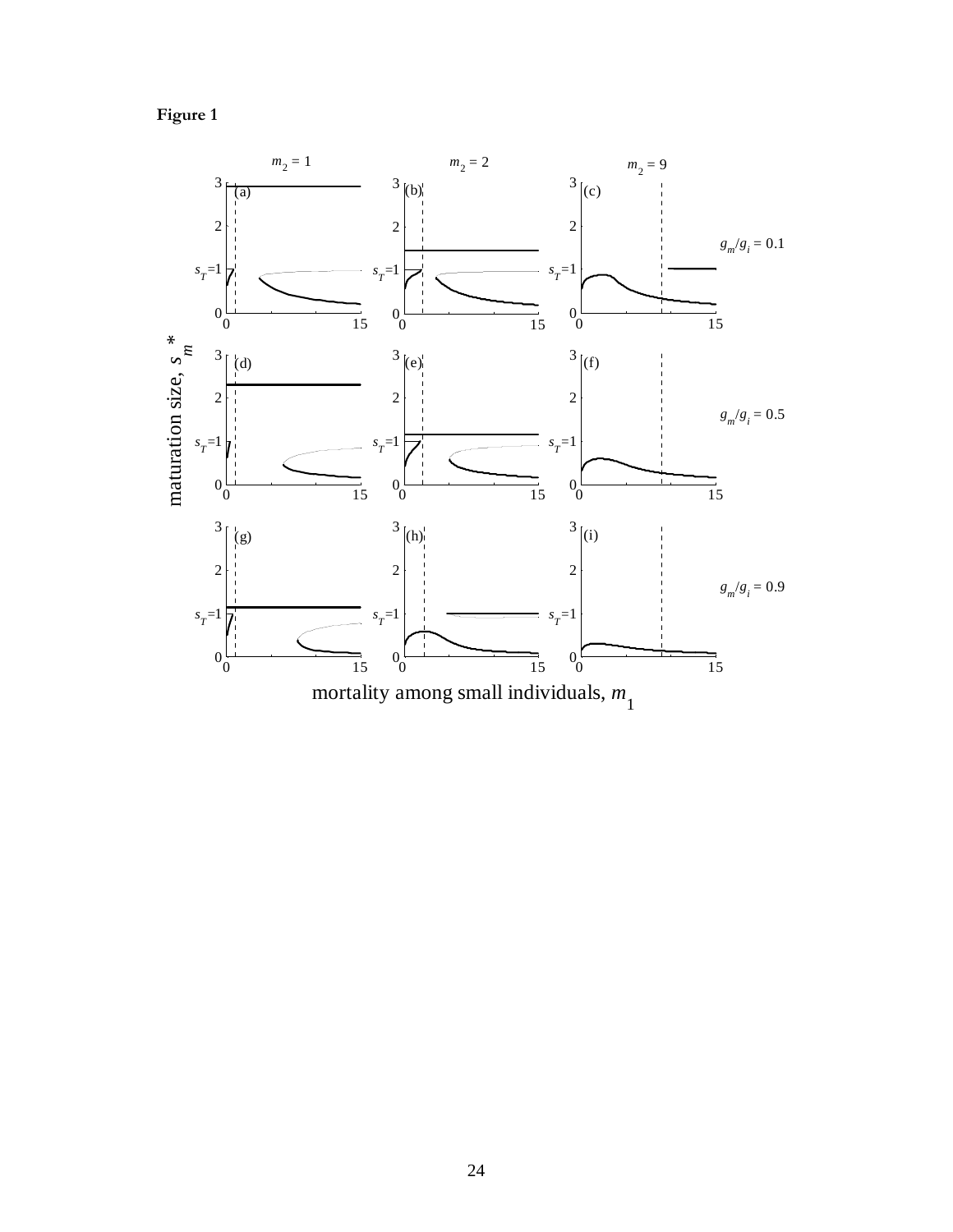

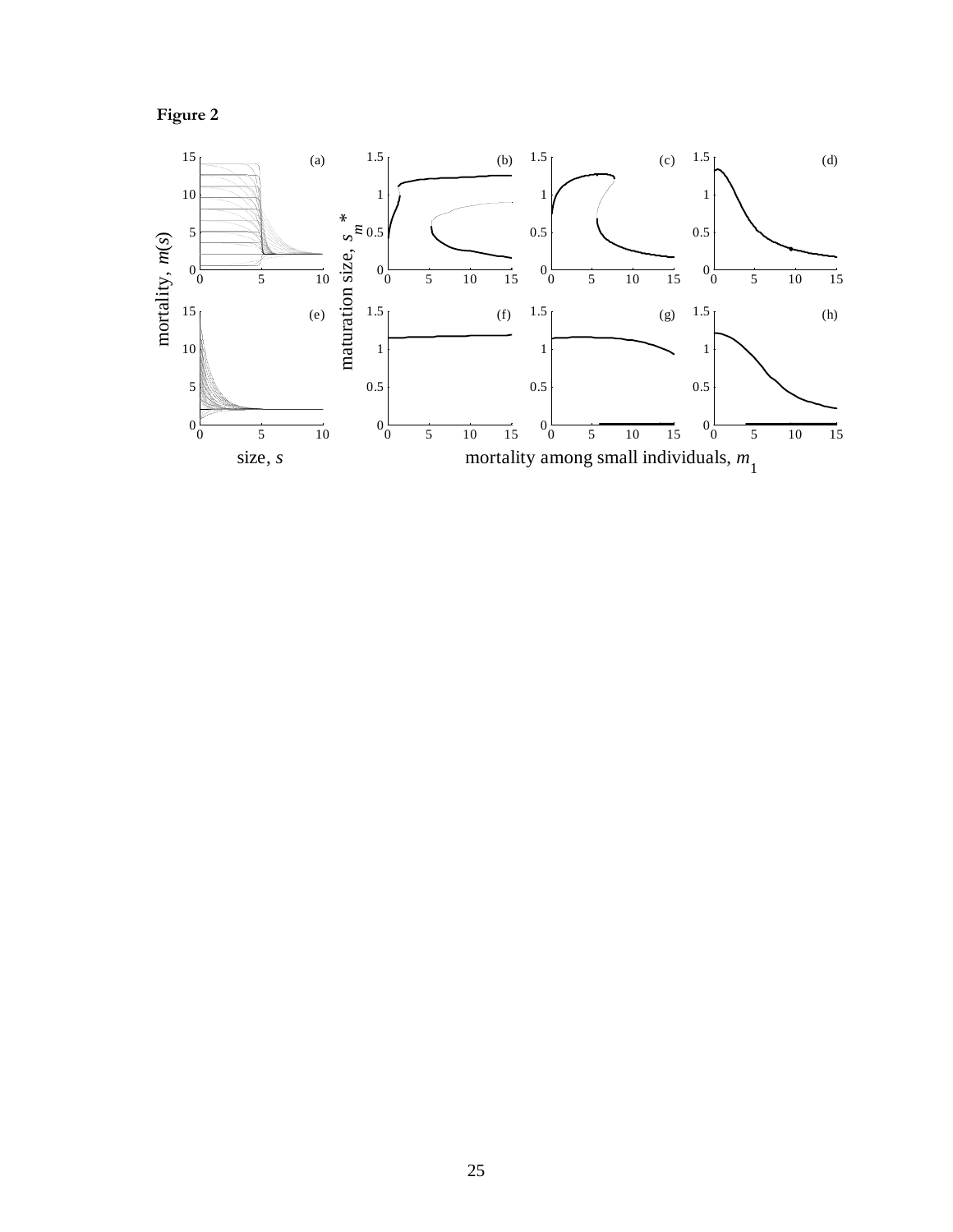

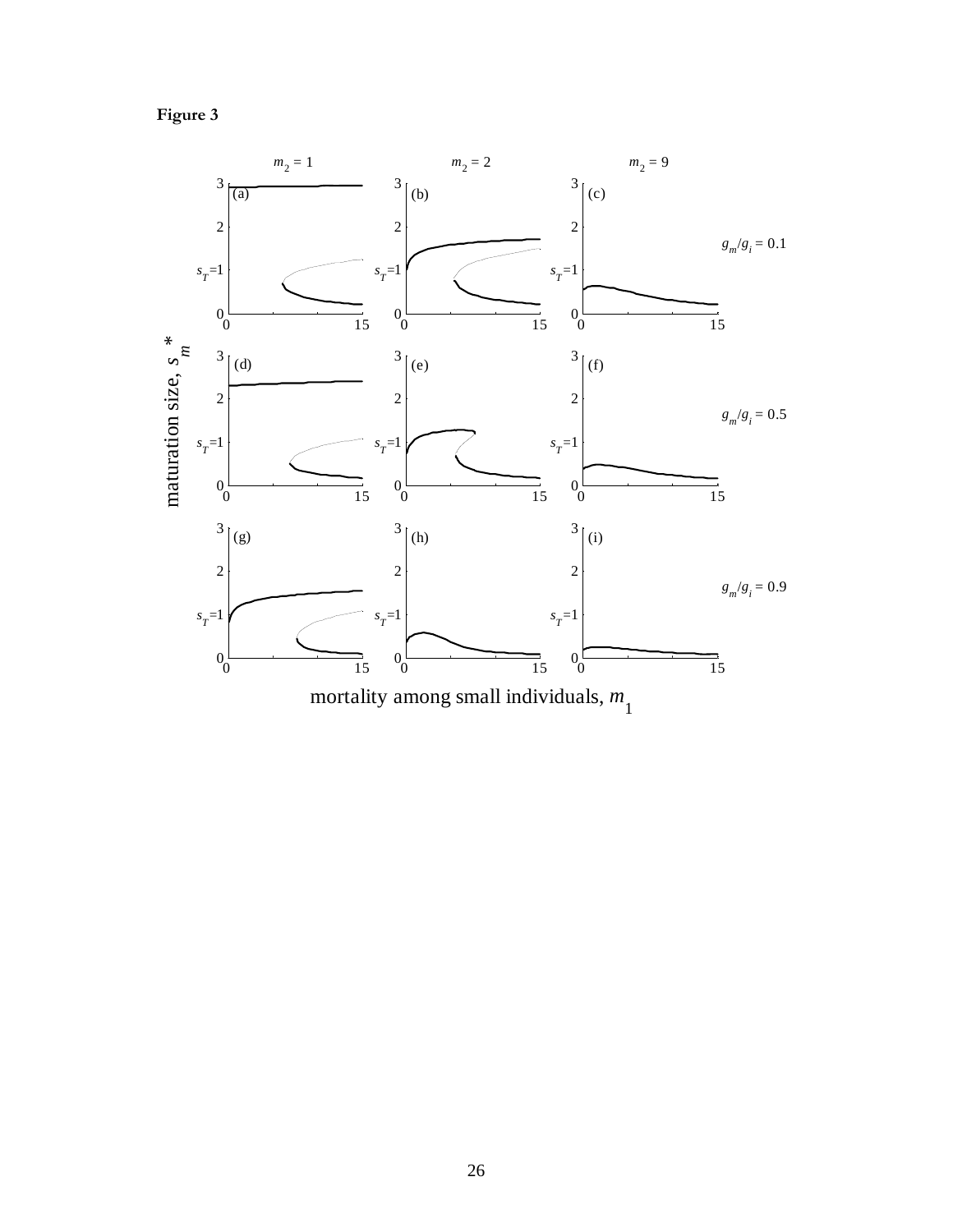